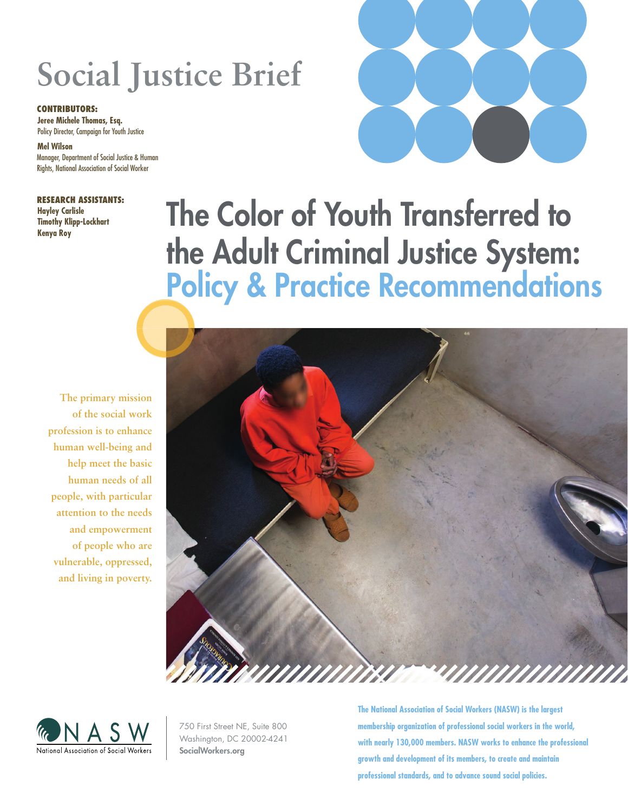# **Social Justice Brief**

#### **CONTRIBUTORS:**

**Jeree Michele Thomas, Esq.** Policy Director, Campaign for Youth Justice

**Mel Wilson** Manager, Department of Social Justice & Human Rights, National Association of Social Worker

#### **RESEARCH ASSISTANTS:**

**Hayley Carlisle Timothy Klipp-Lockhart Kenya Roy**



# **The Color of Youth Transferred to the Adult Criminal Justice System: Policy & Practice Recommendations**

**The primary mission of the social work profession is to enhance human well-being and help meet the basic human needs of all people, with particular attention to the needs and empowerment of people who are vulnerable, oppressed, and living in poverty.**





750 First Street NE, Suite 800 Washington, DC 20002-4241 **SocialWorkers.org**

**The National Association of Social Workers (NASW) is the largest membership organization of professional social workers in the world, with nearly 130,000 members. NASW works to enhance the professional growth and development of its members, to create and maintain professional standards, and to advance sound social policies.**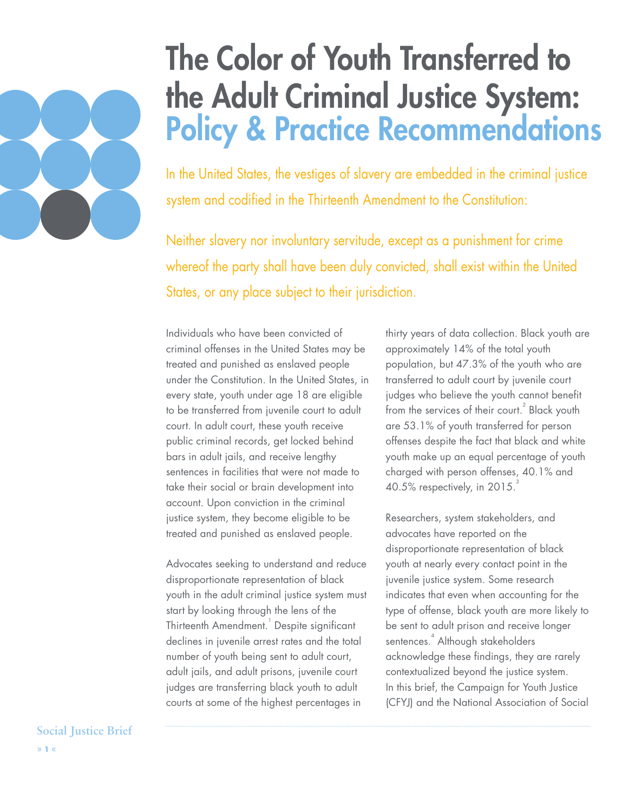

## **The Color of Youth Transferred to the Adult Criminal Justice System: Policy & Practice Recommendations**

In the United States, the vestiges of slavery are embedded in the criminal justice system and codified in the Thirteenth Amendment to the Constitution:

Neither slavery nor involuntary servitude, except as a punishment for crime whereof the party shall have been duly convicted, shall exist within the United States, or any place subject to their jurisdiction.

Individuals who have been convicted of criminal offenses in the United States may be treated and punished as enslaved people under the Constitution. In the United States, in every state, youth under age 18 are eligible to be transferred from juvenile court to adult court. In adult court, these youth receive public criminal records, get locked behind bars in adult jails, and receive lengthy sentences in facilities that were not made to take their social or brain development into account. Upon conviction in the criminal justice system, they become eligible to be treated and punished as enslaved people.

Advocates seeking to understand and reduce disproportionate representation of black youth in the adult criminal justice system must start by looking through the lens of the Thirteenth Amendment. $^{\mathrm{l}}$  Despite significant declines in juvenile arrest rates and the total number of youth being sent to adult court, adult jails, and adult prisons, juvenile court judges are transferring black youth to adult courts at some of the highest percentages in

thirty years of data collection. Black youth are approximately 14% of the total youth population, but 47.3% of the youth who are transferred to adult court by juvenile court judges who believe the youth cannot benefit from the services of their court. $^{2}$  Black youth are 53.1% of youth transferred for person offenses despite the fact that black and white youth make up an equal percentage of youth charged with person offenses, 40.1% and 40.5% respectively, in 2015. $3$ 

Researchers, system stakeholders, and advocates have reported on the disproportionate representation of black youth at nearly every contact point in the juvenile justice system. Some research indicates that even when accounting for the type of offense, black youth are more likely to be sent to adult prison and receive longer sentences.<sup>4</sup> Although stakeholders acknowledge these findings, they are rarely contextualized beyond the justice system. In this brief, the Campaign for Youth Justice (CFYJ) and the National Association of Social

**Social Justice Brief** » **1** «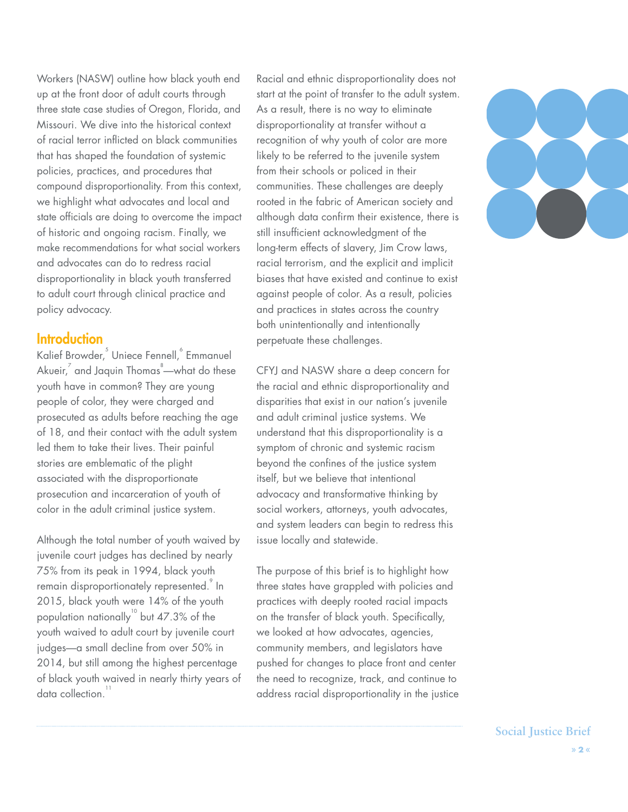Workers (NASW) outline how black youth end up at the front door of adult courts through three state case studies of Oregon, Florida, and Missouri. We dive into the historical context of racial terror inflicted on black communities that has shaped the foundation of systemic policies, practices, and procedures that compound disproportionality. From this context, we highlight what advocates and local and state officials are doing to overcome the impact of historic and ongoing racism. Finally, we make recommendations for what social workers and advocates can do to redress racial disproportionality in black youth transferred to adult court through clinical practice and policy advocacy.

## **Introduction**

Kalief Browder, <sup>5</sup> Uniece Fennell, <sup>6</sup> Emmanuel Akueir,<sup>7</sup> and Jaquin Thomas<sup>8</sup>—what do these youth have in common? They are young people of color, they were charged and prosecuted as adults before reaching the age of 18, and their contact with the adult system led them to take their lives. Their painful stories are emblematic of the plight associated with the disproportionate prosecution and incarceration of youth of color in the adult criminal justice system.

Although the total number of youth waived by juvenile court judges has declined by nearly 75% from its peak in 1994, black youth remain disproportionately represented. $^{\degree}$  In 2015, black youth were 14% of the youth population nationally $^{10}$  but 47.3% of the youth waived to adult court by juvenile court judges—a small decline from over 50% in 2014, but still among the highest percentage of black youth waived in nearly thirty years of data collection.<sup>1</sup>

Racial and ethnic disproportionality does not start at the point of transfer to the adult system. As a result, there is no way to eliminate disproportionality at transfer without a recognition of why youth of color are more likely to be referred to the juvenile system from their schools or policed in their communities. These challenges are deeply rooted in the fabric of American society and although data confirm their existence, there is still insufficient acknowledgment of the long-term effects of slavery, Jim Crow laws, racial terrorism, and the explicit and implicit biases that have existed and continue to exist against people of color. As a result, policies and practices in states across the country both unintentionally and intentionally perpetuate these challenges.

CFYJ and NASW share a deep concern for the racial and ethnic disproportionality and disparities that exist in our nation's juvenile and adult criminal justice systems. We understand that this disproportionality is a symptom of chronic and systemic racism beyond the confines of the justice system itself, but we believe that intentional advocacy and transformative thinking by social workers, attorneys, youth advocates, and system leaders can begin to redress this issue locally and statewide.

The purpose of this brief is to highlight how three states have grappled with policies and practices with deeply rooted racial impacts on the transfer of black youth. Specifically, we looked at how advocates, agencies, community members, and legislators have pushed for changes to place front and center the need to recognize, track, and continue to address racial disproportionality in the justice

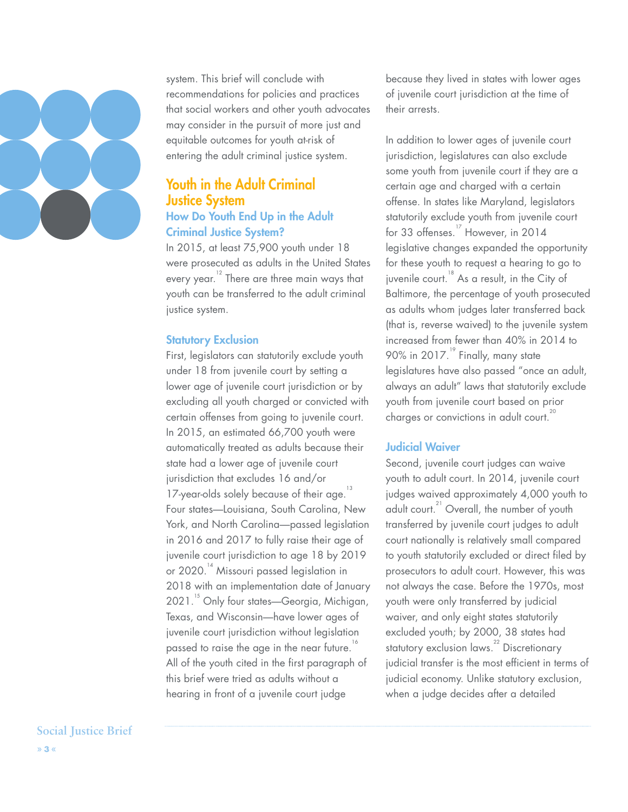

system. This brief will conclude with recommendations for policies and practices that social workers and other youth advocates may consider in the pursuit of more just and equitable outcomes for youth at-risk of entering the adult criminal justice system.

#### **Youth in the Adult Criminal Justice System How Do Youth End Up in the Adult**

## **Criminal Justice System?**

In 2015, at least 75,900 youth under 18 were prosecuted as adults in the United States every year.<sup>12</sup> There are three main ways that youth can be transferred to the adult criminal justice system.

#### **Statutory Exclusion**

First, legislators can statutorily exclude youth under 18 from juvenile court by setting a lower age of juvenile court jurisdiction or by excluding all youth charged or convicted with certain offenses from going to juvenile court. In 2015, an estimated 66,700 youth were automatically treated as adults because their state had a lower age of juvenile court jurisdiction that excludes 16 and/or 17-year-olds solely because of their age.<sup>13</sup> Four states—Louisiana, South Carolina, New York, and North Carolina—passed legislation in 2016 and 2017 to fully raise their age of juvenile court jurisdiction to age 18 by 2019 or 2020.<sup>14</sup> Missouri passed legislation in 2018 with an implementation date of January 2021.<sup>15</sup> Only four states—Georgia, Michigan, Texas, and Wisconsin—have lower ages of juvenile court jurisdiction without legislation passed to raise the age in the near future.<sup>16</sup> All of the youth cited in the first paragraph of this brief were tried as adults without a hearing in front of a juvenile court judge

because they lived in states with lower ages of juvenile court jurisdiction at the time of their arrests.

In addition to lower ages of juvenile court jurisdiction, legislatures can also exclude some youth from juvenile court if they are a certain age and charged with a certain offense. In states like Maryland, legislators statutorily exclude youth from juvenile court for 33 offenses.<sup>17</sup> However, in 2014 legislative changes expanded the opportunity for these youth to request a hearing to go to juvenile court.<sup>18</sup> As a result, in the City of Baltimore, the percentage of youth prosecuted as adults whom judges later transferred back (that is, reverse waived) to the juvenile system increased from fewer than 40% in 2014 to 90% in 2017.<sup>19</sup> Finally, many state legislatures have also passed "once an adult, always an adult" laws that statutorily exclude youth from juvenile court based on prior charges or convictions in adult court.<sup>20</sup>

#### **Judicial Waiver**

Second, juvenile court judges can waive youth to adult court. In 2014, juvenile court judges waived approximately 4,000 youth to adult court.<sup>21</sup> Overall, the number of youth transferred by juvenile court judges to adult court nationally is relatively small compared to youth statutorily excluded or direct filed by prosecutors to adult court. However, this was not always the case. Before the 1970s, most youth were only transferred by judicial waiver, and only eight states statutorily excluded youth; by 2000, 38 states had statutory exclusion laws.<sup>22</sup> Discretionary judicial transfer is the most efficient in terms of judicial economy. Unlike statutory exclusion, when a judge decides after a detailed

**Social Justice Brief** » **3** «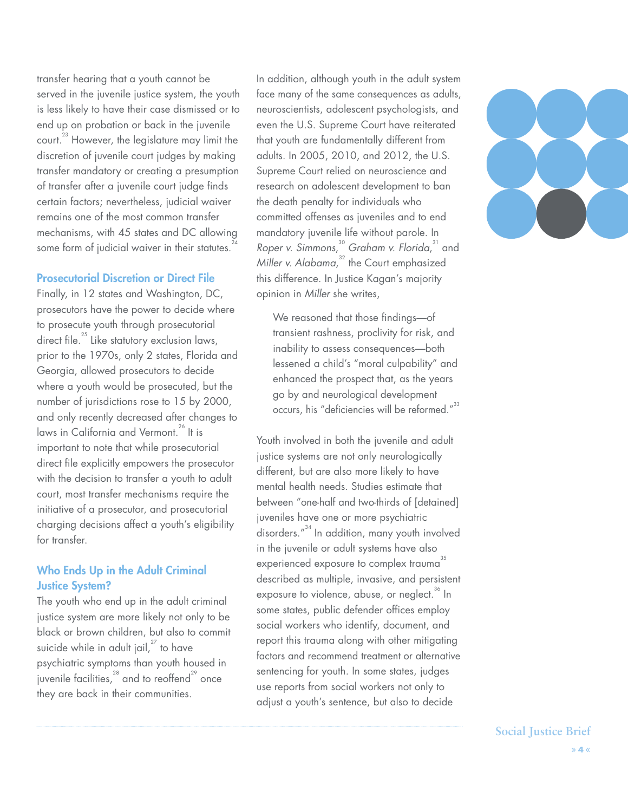transfer hearing that a youth cannot be served in the juvenile justice system, the youth is less likely to have their case dismissed or to end up on probation or back in the juvenile court.<sup>23</sup> However, the legislature may limit the discretion of juvenile court judges by making transfer mandatory or creating a presumption of transfer after a juvenile court judge finds certain factors; nevertheless, judicial waiver remains one of the most common transfer mechanisms, with 45 states and DC allowing some form of judicial waiver in their statutes.<sup>24</sup>

#### **Prosecutorial Discretion or Direct File**

Finally, in 12 states and Washington, DC, prosecutors have the power to decide where to prosecute youth through prosecutorial direct file.<sup>25</sup> Like statutory exclusion laws, prior to the 1970s, only 2 states, Florida and Georgia, allowed prosecutors to decide where a youth would be prosecuted, but the number of jurisdictions rose to 15 by 2000, and only recently decreased after changes to laws in California and Vermont.<sup>26</sup> It is important to note that while prosecutorial direct file explicitly empowers the prosecutor with the decision to transfer a youth to adult court, most transfer mechanisms require the initiative of a prosecutor, and prosecutorial charging decisions affect a youth's eligibility for transfer.

#### **Who Ends Up in the Adult Criminal Justice System?**

The youth who end up in the adult criminal justice system are more likely not only to be black or brown children, but also to commit suicide while in adult jail, $^{27}$  to have psychiatric symptoms than youth housed in juvenile facilities, $^{^{28}}$  and to reoffend $^{^{29}}$  once they are back in their communities.

In addition, although youth in the adult system face many of the same consequences as adults, neuroscientists, adolescent psychologists, and even the U.S. Supreme Court have reiterated that youth are fundamentally different from adults. In 2005, 2010, and 2012, the U.S. Supreme Court relied on neuroscience and research on adolescent development to ban the death penalty for individuals who committed offenses as juveniles and to end mandatory juvenile life without parole. In *Roper v. Simmons*, <sup>30</sup> *Graham v. Florida*, <sup>31</sup> and *Miller v. Alabama*, <sup>32</sup> the Court emphasized this difference. In Justice Kagan's majority opinion in *Miller* she writes,

We reasoned that those findings—of transient rashness, proclivity for risk, and inability to assess consequences—both lessened a child's "moral culpability" and enhanced the prospect that, as the years go by and neurological development occurs, his "deficiencies will be reformed." $^{33}$ 

Youth involved in both the juvenile and adult justice systems are not only neurologically different, but are also more likely to have mental health needs. Studies estimate that between "one-half and two-thirds of [detained] juveniles have one or more psychiatric disorders."34 In addition, many youth involved in the juvenile or adult systems have also experienced exposure to complex trauma<sup>3</sup> described as multiple, invasive, and persistent exposure to violence, abuse, or neglect.<sup>36</sup> In some states, public defender offices employ social workers who identify, document, and report this trauma along with other mitigating factors and recommend treatment or alternative sentencing for youth. In some states, judges use reports from social workers not only to adjust a youth's sentence, but also to decide

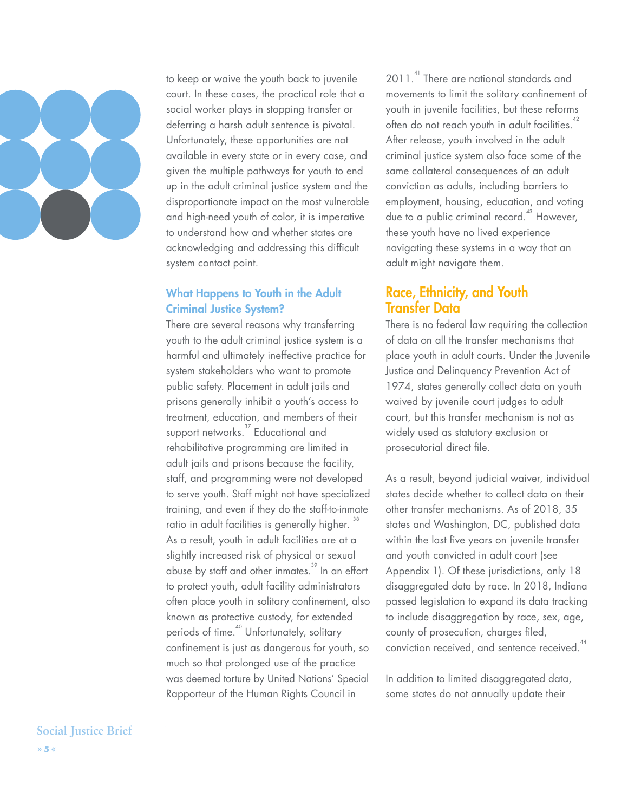

to keep or waive the youth back to juvenile court. In these cases, the practical role that a social worker plays in stopping transfer or deferring a harsh adult sentence is pivotal. Unfortunately, these opportunities are not available in every state or in every case, and given the multiple pathways for youth to end up in the adult criminal justice system and the disproportionate impact on the most vulnerable and high-need youth of color, it is imperative to understand how and whether states are acknowledging and addressing this difficult system contact point.

#### **What Happens to Youth in the Adult Criminal Justice System?**

There are several reasons why transferring youth to the adult criminal justice system is a harmful and ultimately ineffective practice for system stakeholders who want to promote public safety. Placement in adult jails and prisons generally inhibit a youth's access to treatment, education, and members of their support networks.<sup>37</sup> Educational and rehabilitative programming are limited in adult jails and prisons because the facility, staff, and programming were not developed to serve youth. Staff might not have specialized training, and even if they do the staff-to-inmate ratio in adult facilities is generally higher.<sup>38</sup> As a result, youth in adult facilities are at a slightly increased risk of physical or sexual abuse by staff and other inmates.<sup>39</sup> In an effort to protect youth, adult facility administrators often place youth in solitary confinement, also known as protective custody, for extended periods of time. $40^{\circ}$  Unfortunately, solitary confinement is just as dangerous for youth, so much so that prolonged use of the practice was deemed torture by United Nations' Special Rapporteur of the Human Rights Council in

2011.<sup>41</sup> There are national standards and movements to limit the solitary confinement of youth in juvenile facilities, but these reforms often do not reach youth in adult facilities.<sup>42</sup> After release, youth involved in the adult criminal justice system also face some of the same collateral consequences of an adult conviction as adults, including barriers to employment, housing, education, and voting due to a public criminal record.<sup>43</sup> However, these youth have no lived experience navigating these systems in a way that an adult might navigate them.

## **Race, Ethnicity, and Youth Transfer Data**

There is no federal law requiring the collection of data on all the transfer mechanisms that place youth in adult courts. Under the Juvenile Justice and Delinquency Prevention Act of 1974, states generally collect data on youth waived by juvenile court judges to adult court, but this transfer mechanism is not as widely used as statutory exclusion or prosecutorial direct file.

As a result, beyond judicial waiver, individual states decide whether to collect data on their other transfer mechanisms. As of 2018, 35 states and Washington, DC, published data within the last five years on juvenile transfer and youth convicted in adult court (see Appendix 1). Of these jurisdictions, only 18 disaggregated data by race. In 2018, Indiana passed legislation to expand its data tracking to include disaggregation by race, sex, age, county of prosecution, charges filed, conviction received, and sentence received.<sup>44</sup>

In addition to limited disaggregated data, some states do not annually update their

**Social Justice Brief** » **5** «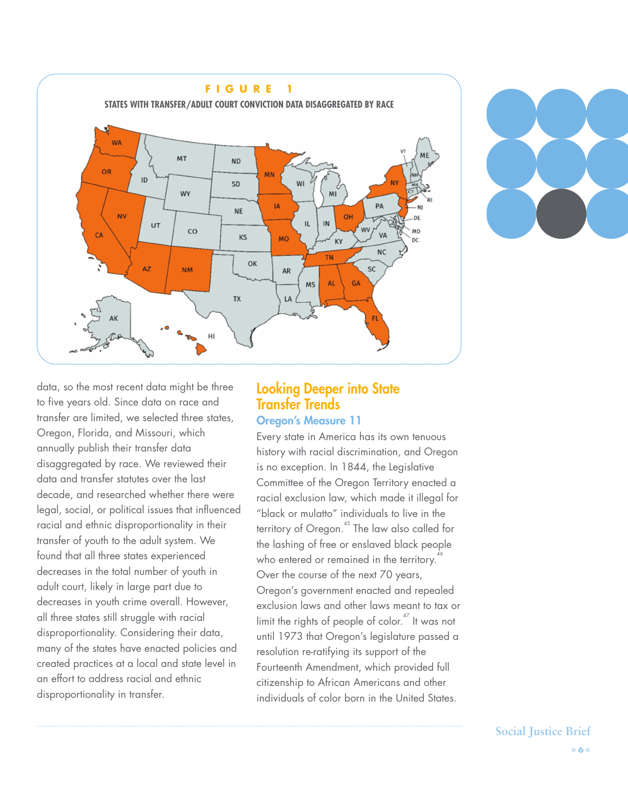



data, so the most recent data might be three to five years old. Since data on race and transfer are limited, we selected three states, Oregon, Florida, and Missouri, which annually publish their transfer data disaggregated by race. We reviewed their data and transfer statutes over the last decade, and researched whether there were legal, social, or political issues that influenced racial and ethnic disproportionality in their transfer of youth to the adult system. We found that all three states experienced decreases in the total number of youth in adult court, likely in large part due to decreases in youth crime overall. However, all three states still struggle with racial disproportionality. Considering their data, many of the states have enacted policies and created practices at a local and state level in an effort to address racial and ethnic disproportionality in transfer.

#### **Looking Deeper into State Transfer Trends Oregon's Measure 11**

Every state in America has its own tenuous history with racial discrimination, and Oregon is no exception. In 1844, the Legislative Committee of the Oregon Territory enacted a racial exclusion law, which made it illegal for "black or mulatto" individuals to live in the territory of Oregon.<sup>45</sup> The law also called for the lashing of free or enslaved black people who entered or remained in the territory.<sup>46</sup> Over the course of the next 70 years, Oregon's government enacted and repealed exclusion laws and other laws meant to tax or limit the rights of people of color.<sup> $47$ </sup> It was not until 1973 that Oregon's legislature passed a resolution re-ratifying its support of the Fourteenth Amendment, which provided full citizenship to African Americans and other individuals of color born in the United States.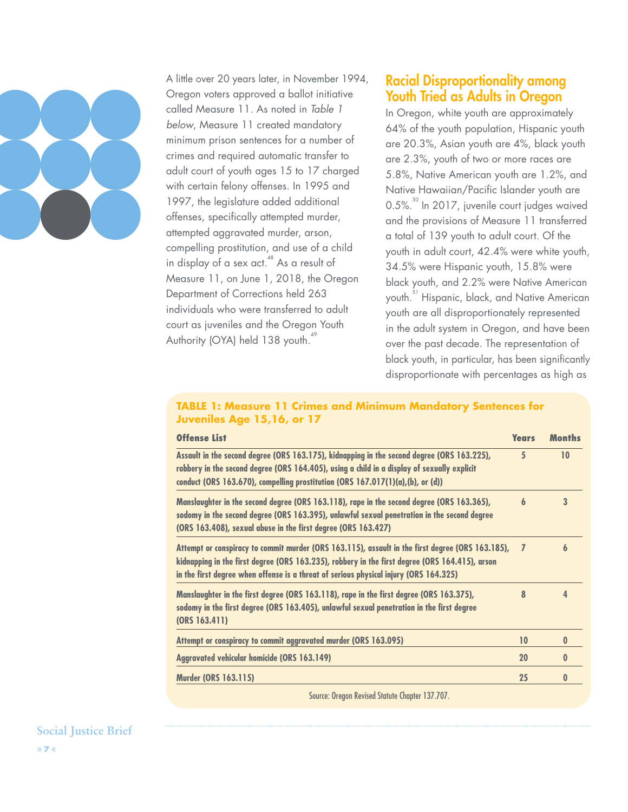

A little over 20 years later, in November 1994, Oregon voters approved a ballot initiative called Measure 11. As noted in *Table 1 below*, Measure 11 created mandatory minimum prison sentences for a number of crimes and required automatic transfer to adult court of youth ages 15 to 17 charged with certain felony offenses. In 1995 and 1997, the legislature added additional offenses, specifically attempted murder, attempted aggravated murder, arson, compelling prostitution, and use of a child in display of a sex act.<sup>48</sup> As a result of Measure 11, on June 1, 2018, the Oregon Department of Corrections held 263 individuals who were transferred to adult court as juveniles and the Oregon Youth Authority (OYA) held 138 youth.<sup>49</sup>

## **Racial Disproportionality among Youth Tried as Adults in Oregon**

In Oregon, white youth are approximately 64% of the youth population, Hispanic youth are 20.3%, Asian youth are 4%, black youth are 2.3%, youth of two or more races are 5.8%, Native American youth are 1.2%, and Native Hawaiian/Pacific Islander youth are 0.5%.<sup>50</sup> In 2017, juvenile court judges waived and the provisions of Measure 11 transferred a total of 139 youth to adult court. Of the youth in adult court, 42.4% were white youth, 34.5% were Hispanic youth, 15.8% were black youth, and 2.2% were Native American youth.<sup>31</sup> Hispanic, black, and Native American youth are all disproportionately represented in the adult system in Oregon, and have been over the past decade. The representation of black youth, in particular, has been significantly disproportionate with percentages as high as

#### **TABLE 1: Measure 11 Crimes and Minimum Mandatory Sentences for Juveniles Age 15,16, or 17**

| <b>Offense List</b>                                                                                                                                                                                                                                                                           | <b>Years</b>    | <b>Months</b> |
|-----------------------------------------------------------------------------------------------------------------------------------------------------------------------------------------------------------------------------------------------------------------------------------------------|-----------------|---------------|
| Assault in the second degree (ORS 163.175), kidnapping in the second degree (ORS 163.225),<br>robbery in the second degree (ORS 164.405), using a child in a display of sexually explicit<br>conduct (ORS 163.670), compelling prostitution (ORS 167.017(1)(a),(b), or (d))                   | 5               | 10            |
| Manslaughter in the second degree (ORS 163.118), rape in the second degree (ORS 163.365),<br>sodomy in the second degree (ORS 163.395), unlawful sexual penetration in the second degree<br>(ORS 163.408), sexual abuse in the first degree (ORS 163.427)                                     | 6               | 3             |
| Attempt or conspiracy to commit murder (ORS 163.115), assault in the first degree (ORS 163.185), 7<br>kidnapping in the first degree (ORS 163.235), robbery in the first degree (ORS 164.415), arson<br>in the first degree when offense is a threat of serious physical injury (ORS 164.325) |                 | 6             |
| Manslaughter in the first degree (ORS 163.118), rape in the first degree (ORS 163.375),<br>sodomy in the first degree (ORS 163.405), unlawful sexual penetration in the first degree<br>(ORS 163.411)                                                                                         | 8               | 4             |
| Attempt or conspiracy to commit aggravated murder (ORS 163.095)                                                                                                                                                                                                                               | 10 <sup>°</sup> | $\bf{0}$      |
| <b>Aggravated vehicular homicide (ORS 163.149)</b>                                                                                                                                                                                                                                            | 20              |               |
| <b>Murder (ORS 163.115)</b>                                                                                                                                                                                                                                                                   | 25              |               |

Source: Oregon Revised Statute Chapter 137.707.

## **Social Justice Brief**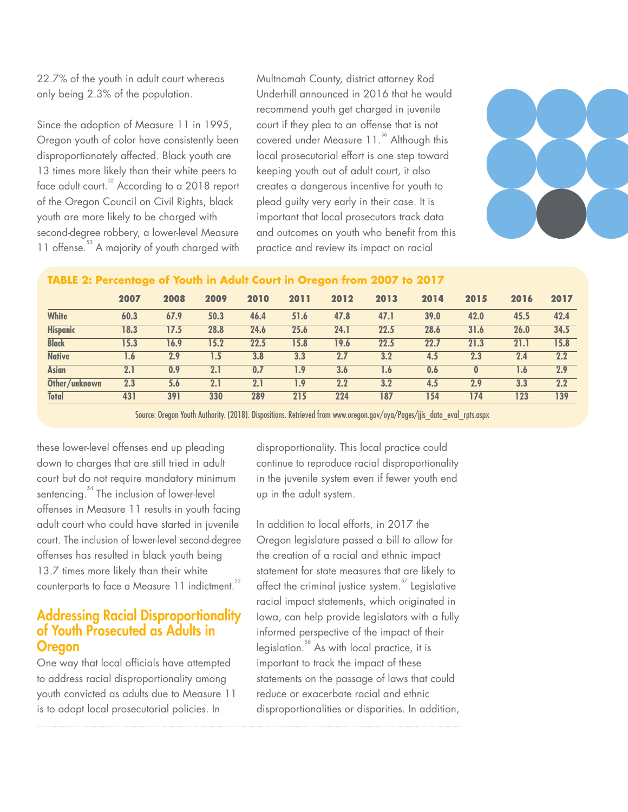22.7% of the youth in adult court whereas only being 2.3% of the population.

Since the adoption of Measure 11 in 1995, Oregon youth of color have consistently been disproportionately affected. Black youth are 13 times more likely than their white peers to face adult court.<sup>52</sup> According to a 2018 report of the Oregon Council on Civil Rights, black youth are more likely to be charged with second-degree robbery, a lower-level Measure 11 offense.<sup>53</sup> A majority of youth charged with Multnomah County, district attorney Rod Underhill announced in 2016 that he would recommend youth get charged in juvenile court if they plea to an offense that is not covered under Measure 11.<sup>56</sup> Although this local prosecutorial effort is one step toward keeping youth out of adult court, it also creates a dangerous incentive for youth to plead guilty very early in their case. It is important that local prosecutors track data and outcomes on youth who benefit from this practice and review its impact on racial



#### **TABLE 2: Percentage of Youth in Adult Court in Oregon from 2007 to 2017**

|                 | 2007 | 2008 | 2009 | 2010 | 2011 | 2012 | 2013 | 2014 | 2015     | 2016 | 2017 |
|-----------------|------|------|------|------|------|------|------|------|----------|------|------|
| <b>White</b>    | 60.3 | 67.9 | 50.3 | 46.4 | 51.6 | 47.8 | 47.1 | 39.0 | 42.0     | 45.5 | 42.4 |
| <b>Hispanic</b> | 18.3 | 17.5 | 28.8 | 24.6 | 25.6 | 24.1 | 22.5 | 28.6 | 31.6     | 26.0 | 34.5 |
| <b>Black</b>    | 15.3 | 16.9 | 15.2 | 22.5 | 15.8 | 19.6 | 22.5 | 22.7 | 21.3     | 21.1 | 15.8 |
| <b>Native</b>   | 1.6  | 2.9  | 1.5  | 3.8  | 3.3  | 2.7  | 3.2  | 4.5  | 2.3      | 2.4  | 2.2  |
| <b>Asian</b>    | 2.1  | 0.9  | 2.1  | 0.7  | 1.9  | 3.6  | 1.6  | 0.6  | $\bf{0}$ | 1.6  | 2.9  |
| Other/unknown   | 2.3  | 5.6  | 2.1  | 2.1  | 1.9  | 2.2  | 3.2  | 4.5  | 2.9      | 3.3  | 2.2  |
| <b>Total</b>    | 431  | 391  | 330  | 289  | 215  | 224  | 187  | 154  | 174      | 123  | 139  |

Source: Oregon Youth Authority. (2018). Dispositions. Retrieved from www.oregon.gov/oya/Pages/jjis\_data\_eval\_rpts.aspx

these lower-level offenses end up pleading down to charges that are still tried in adult court but do not require mandatory minimum sentencing. $54$  The inclusion of lower-level offenses in Measure 11 results in youth facing adult court who could have started in juvenile court. The inclusion of lower-level second-degree offenses has resulted in black youth being 13.7 times more likely than their white counterparts to face a Measure 11 indictment.<sup>55</sup>

## **Addressing Racial Disproportionality of Youth Prosecuted as Adults in Oregon**

One way that local officials have attempted to address racial disproportionality among youth convicted as adults due to Measure 11 is to adopt local prosecutorial policies. In

disproportionality. This local practice could continue to reproduce racial disproportionality in the juvenile system even if fewer youth end up in the adult system.

In addition to local efforts, in 2017 the Oregon legislature passed a bill to allow for the creation of a racial and ethnic impact statement for state measures that are likely to affect the criminal justice system.<sup>57</sup> Legislative racial impact statements, which originated in Iowa, can help provide legislators with a fully informed perspective of the impact of their legislation.<sup>58</sup> As with local practice, it is important to track the impact of these statements on the passage of laws that could reduce or exacerbate racial and ethnic disproportionalities or disparities. In addition,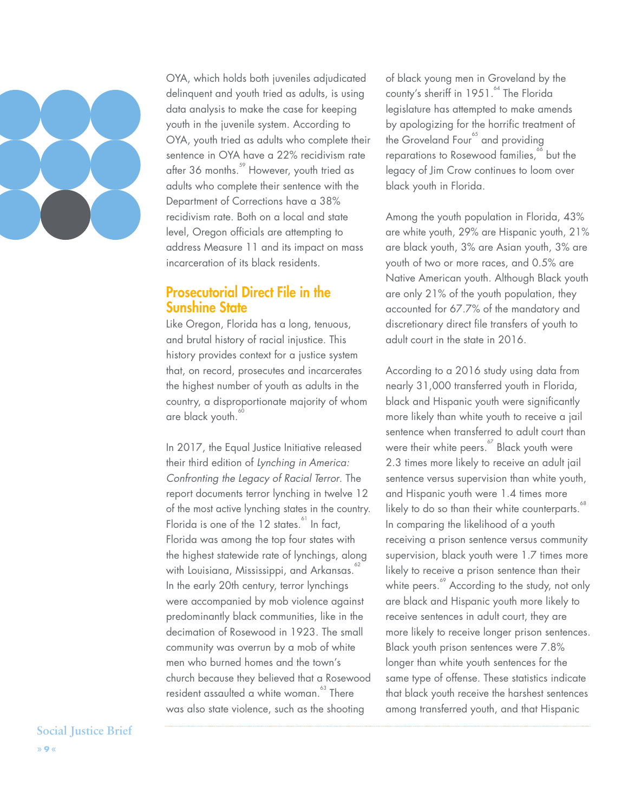

OYA, which holds both juveniles adjudicated delinquent and youth tried as adults, is using data analysis to make the case for keeping youth in the juvenile system. According to OYA, youth tried as adults who complete their sentence in OYA have a 22% recidivism rate after 36 months.<sup>59</sup> However, youth tried as adults who complete their sentence with the Department of Corrections have a 38% recidivism rate. Both on a local and state level, Oregon officials are attempting to address Measure 11 and its impact on mass incarceration of its black residents.

## **Prosecutorial Direct File in the Sunshine State**

Like Oregon, Florida has a long, tenuous, and brutal history of racial injustice. This history provides context for a justice system that, on record, prosecutes and incarcerates the highest number of youth as adults in the country, a disproportionate majority of whom are black youth.<sup>o</sup>

In 2017, the Equal Justice Initiative released their third edition of *Lynching in America: Confronting the Legacy of Racial Terror*. The report documents terror lynching in twelve 12 of the most active lynching states in the country. Florida is one of the 12 states.<sup>61</sup> In fact, Florida was among the top four states with the highest statewide rate of lynchings, along with Louisiana, Mississippi, and Arkansas.<sup>62</sup> In the early 20th century, terror lynchings were accompanied by mob violence against predominantly black communities, like in the decimation of Rosewood in 1923. The small community was overrun by a mob of white men who burned homes and the town's church because they believed that a Rosewood resident assaulted a white woman.<sup>83</sup> There was also state violence, such as the shooting

of black young men in Groveland by the county's sheriff in 1951.<sup>64</sup> The Florida legislature has attempted to make amends by apologizing for the horrific treatment of the Groveland Four<sup>65</sup> and providing reparations to Rosewood families,<sup>66</sup> but the legacy of Jim Crow continues to loom over black youth in Florida.

Among the youth population in Florida, 43% are white youth, 29% are Hispanic youth, 21% are black youth, 3% are Asian youth, 3% are youth of two or more races, and 0.5% are Native American youth. Although Black youth are only 21% of the youth population, they accounted for 67.7% of the mandatory and discretionary direct file transfers of youth to adult court in the state in 2016.

According to a 2016 study using data from nearly 31,000 transferred youth in Florida, black and Hispanic youth were significantly more likely than white youth to receive a jail sentence when transferred to adult court than were their white peers.<sup>67</sup> Black youth were 2.3 times more likely to receive an adult jail sentence versus supervision than white youth, and Hispanic youth were 1.4 times more likely to do so than their white counterparts. In comparing the likelihood of a youth receiving a prison sentence versus community supervision, black youth were 1.7 times more likely to receive a prison sentence than their white peers.<sup>69</sup> According to the study, not only are black and Hispanic youth more likely to receive sentences in adult court, they are more likely to receive longer prison sentences. Black youth prison sentences were 7.8% longer than white youth sentences for the same type of offense. These statistics indicate that black youth receive the harshest sentences among transferred youth, and that Hispanic

**Social Justice Brief** » **9** «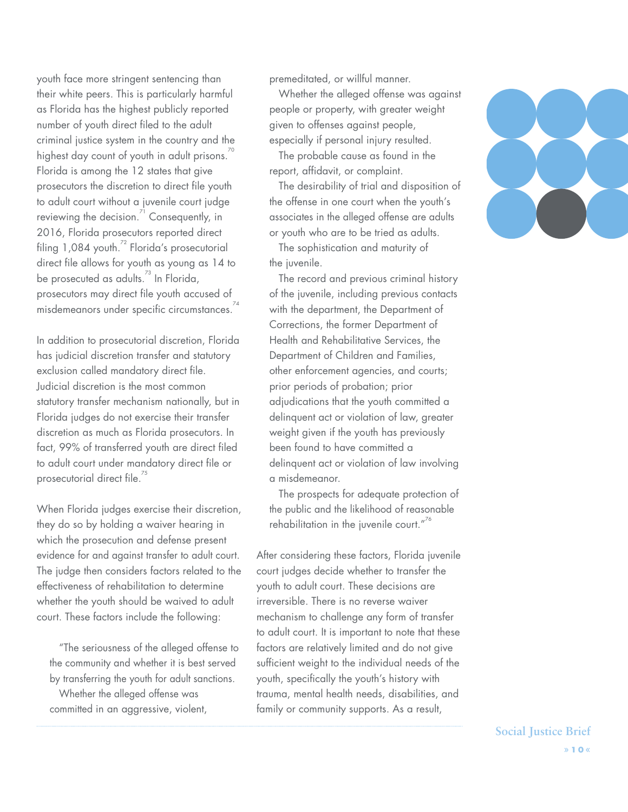youth face more stringent sentencing than their white peers. This is particularly harmful as Florida has the highest publicly reported number of youth direct filed to the adult criminal justice system in the country and the highest day count of youth in adult prisons. Florida is among the 12 states that give prosecutors the discretion to direct file youth to adult court without a juvenile court judge reviewing the decision.<sup>1</sup> Consequently, in 2016, Florida prosecutors reported direct filing  $1,084$  youth.<sup>2</sup> Florida's prosecutorial direct file allows for youth as young as 14 to be prosecuted as adults.<sup> $3$ </sup> In Florida, prosecutors may direct file youth accused of misdemeanors under specific circumstances.<sup>44</sup>

In addition to prosecutorial discretion, Florida has judicial discretion transfer and statutory exclusion called mandatory direct file. Judicial discretion is the most common statutory transfer mechanism nationally, but in Florida judges do not exercise their transfer discretion as much as Florida prosecutors. In fact, 99% of transferred youth are direct filed to adult court under mandatory direct file or prosecutorial direct file.<sup>75</sup>

When Florida judges exercise their discretion, they do so by holding a waiver hearing in which the prosecution and defense present evidence for and against transfer to adult court. The judge then considers factors related to the effectiveness of rehabilitation to determine whether the youth should be waived to adult court. These factors include the following:

 "The seriousness of the alleged offense to the community and whether it is best served by transferring the youth for adult sanctions. Whether the alleged offense was committed in an aggressive, violent,

premeditated, or willful manner.

 Whether the alleged offense was against people or property, with greater weight given to offenses against people, especially if personal injury resulted.

 The probable cause as found in the report, affidavit, or complaint.

 The desirability of trial and disposition of the offense in one court when the youth's associates in the alleged offense are adults or youth who are to be tried as adults.

 The sophistication and maturity of the juvenile.

 The record and previous criminal history of the juvenile, including previous contacts with the department, the Department of Corrections, the former Department of Health and Rehabilitative Services, the Department of Children and Families, other enforcement agencies, and courts; prior periods of probation; prior adjudications that the youth committed a delinquent act or violation of law, greater weight given if the youth has previously been found to have committed a delinquent act or violation of law involving a misdemeanor.

 The prospects for adequate protection of the public and the likelihood of reasonable rehabilitation in the juvenile court. $^{'''}$ 

After considering these factors, Florida juvenile court judges decide whether to transfer the youth to adult court. These decisions are irreversible. There is no reverse waiver mechanism to challenge any form of transfer to adult court. It is important to note that these factors are relatively limited and do not give sufficient weight to the individual needs of the youth, specifically the youth's history with trauma, mental health needs, disabilities, and family or community supports. As a result,

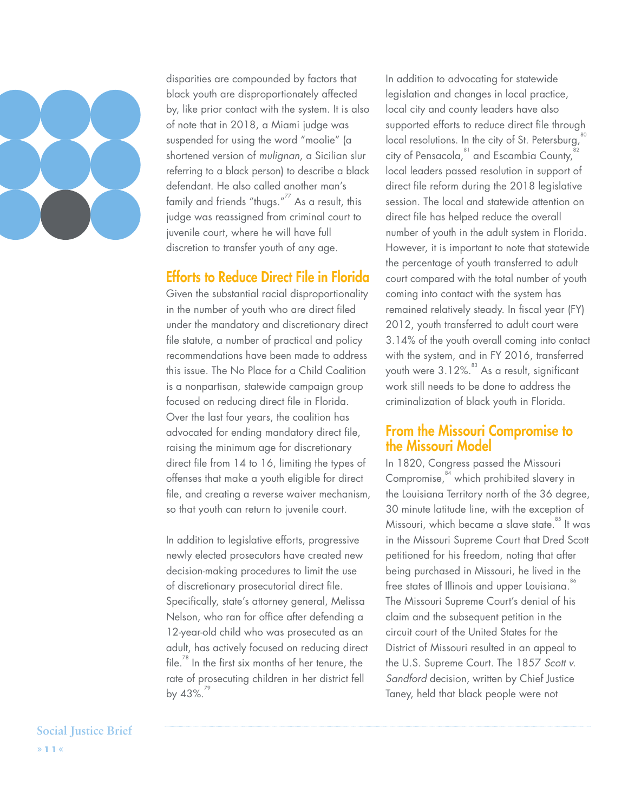

disparities are compounded by factors that black youth are disproportionately affected by, like prior contact with the system. It is also of note that in 2018, a Miami judge was suspended for using the word "moolie" (a shortened version of *mulignan*, a Sicilian slur referring to a black person) to describe a black defendant. He also called another man's family and friends "thugs." $77$  As a result, this judge was reassigned from criminal court to juvenile court, where he will have full discretion to transfer youth of any age.

## **Efforts to Reduce Direct File in Florida**

Given the substantial racial disproportionality in the number of youth who are direct filed under the mandatory and discretionary direct file statute, a number of practical and policy recommendations have been made to address this issue. The No Place for a Child Coalition is a nonpartisan, statewide campaign group focused on reducing direct file in Florida. Over the last four years, the coalition has advocated for ending mandatory direct file, raising the minimum age for discretionary direct file from 14 to 16, limiting the types of offenses that make a youth eligible for direct file, and creating a reverse waiver mechanism, so that youth can return to juvenile court.

In addition to legislative efforts, progressive newly elected prosecutors have created new decision-making procedures to limit the use of discretionary prosecutorial direct file. Specifically, state's attorney general, Melissa Nelson, who ran for office after defending a 12-year-old child who was prosecuted as an adult, has actively focused on reducing direct file.<sup> $\degree$ </sup> In the first six months of her tenure, the rate of prosecuting children in her district fell by  $43\%$ .

In addition to advocating for statewide legislation and changes in local practice, local city and county leaders have also supported efforts to reduce direct file through local resolutions. In the city of St. Petersburg, city of Pensacola, $81$  and Escambia County, $83$ local leaders passed resolution in support of direct file reform during the 2018 legislative session. The local and statewide attention on direct file has helped reduce the overall number of youth in the adult system in Florida. However, it is important to note that statewide the percentage of youth transferred to adult court compared with the total number of youth coming into contact with the system has remained relatively steady. In fiscal year (FY) 2012, youth transferred to adult court were 3.14% of the youth overall coming into contact with the system, and in FY 2016, transferred youth were 3.12%.<sup>83</sup> As a result, significant work still needs to be done to address the criminalization of black youth in Florida.

### **From the Missouri Compromise to the Missouri Model**

In 1820, Congress passed the Missouri Compromise,<sup>84</sup> which prohibited slavery in the Louisiana Territory north of the 36 degree, 30 minute latitude line, with the exception of Missouri, which became a slave state.<sup>85</sup> It was in the Missouri Supreme Court that Dred Scott petitioned for his freedom, noting that after being purchased in Missouri, he lived in the free states of Illinois and upper Louisiana.<sup>86</sup> The Missouri Supreme Court's denial of his claim and the subsequent petition in the circuit court of the United States for the District of Missouri resulted in an appeal to the U.S. Supreme Court. The 1857 *Scott v. Sandford* decision, written by Chief Justice Taney, held that black people were not

**Social Justice Brief** » **1 1** «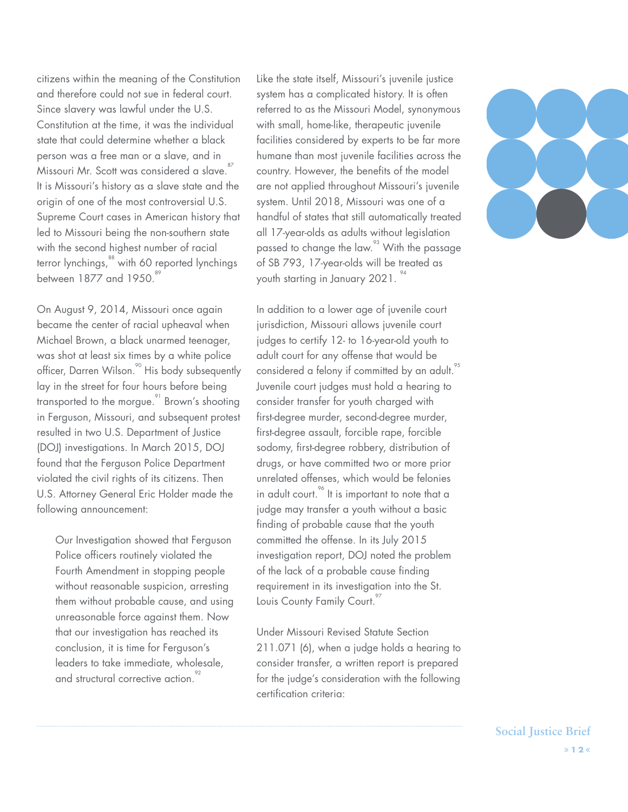citizens within the meaning of the Constitution and therefore could not sue in federal court. Since slavery was lawful under the U.S. Constitution at the time, it was the individual state that could determine whether a black person was a free man or a slave, and in Missouri Mr. Scott was considered a slave.<sup>87</sup> It is Missouri's history as a slave state and the origin of one of the most controversial U.S. Supreme Court cases in American history that led to Missouri being the non-southern state with the second highest number of racial terror lynchings,<sup>88</sup> with 60 reported lynchings between  $1877$  and  $1950$ .<sup>89</sup>

On August 9, 2014, Missouri once again became the center of racial upheaval when Michael Brown, a black unarmed teenager, was shot at least six times by a white police officer, Darren Wilson.<sup>90</sup> His body subsequently lay in the street for four hours before being transported to the morgue.<sup>91</sup> Brown's shooting in Ferguson, Missouri, and subsequent protest resulted in two U.S. Department of Justice (DOJ) investigations. In March 2015, DOJ found that the Ferguson Police Department violated the civil rights of its citizens. Then U.S. Attorney General Eric Holder made the following announcement:

Our Investigation showed that Ferguson Police officers routinely violated the Fourth Amendment in stopping people without reasonable suspicion, arresting them without probable cause, and using unreasonable force against them. Now that our investigation has reached its conclusion, it is time for Ferguson's leaders to take immediate, wholesale, and structural corrective action.<sup>92</sup>

Like the state itself, Missouri's juvenile justice system has a complicated history. It is often referred to as the Missouri Model, synonymous with small, home-like, therapeutic juvenile facilities considered by experts to be far more humane than most juvenile facilities across the country. However, the benefits of the model are not applied throughout Missouri's juvenile system. Until 2018, Missouri was one of a handful of states that still automatically treated all 17-year-olds as adults without legislation passed to change the law.<sup>93</sup> With the passage of SB 793, 17-year-olds will be treated as youth starting in January 2021.<sup>94</sup>

In addition to a lower age of juvenile court jurisdiction, Missouri allows juvenile court judges to certify 12- to 16-year-old youth to adult court for any offense that would be considered a felony if committed by an adult.<sup>95</sup> Juvenile court judges must hold a hearing to consider transfer for youth charged with first-degree murder, second-degree murder, first-degree assault, forcible rape, forcible sodomy, first-degree robbery, distribution of drugs, or have committed two or more prior unrelated offenses, which would be felonies in adult court. $\frac{96}{11}$  it is important to note that a judge may transfer a youth without a basic finding of probable cause that the youth committed the offense. In its July 2015 investigation report, DOJ noted the problem of the lack of a probable cause finding requirement in its investigation into the St. Louis County Family Court.<sup>97</sup>

Under Missouri Revised Statute Section 211.071 (6), when a judge holds a hearing to consider transfer, a written report is prepared for the judge's consideration with the following certification criteria:

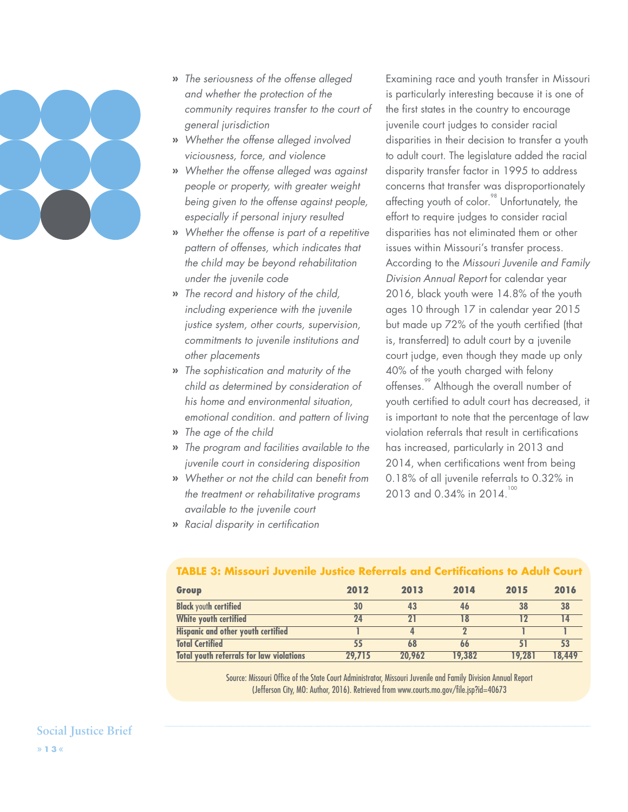

- **»** *The seriousness of the offense alleged and whether the protection of the community requires transfer to the court of general jurisdiction*
- **»** *Whether the offense alleged involved viciousness, force, and violence*
- **»** *Whether the offense alleged was against people or property, with greater weight being given to the offense against people, especially if personal injury resulted*
- **»** *Whether the offense is part of a repetitive pattern of offenses, which indicates that the child may be beyond rehabilitation under the juvenile code*
- **»** *The record and history of the child, including experience with the juvenile justice system, other courts, supervision, commitments to juvenile institutions and other placements*
- **»** *The sophistication and maturity of the child as determined by consideration of his home and environmental situation, emotional condition. and pattern of living*
- **»** *The age of the child*
- **»** *The program and facilities available to the juvenile court in considering disposition*
- **»** *Whether or not the child can benefit from the treatment or rehabilitative programs available to the juvenile court*
- Examining race and youth transfer in Missouri is particularly interesting because it is one of the first states in the country to encourage juvenile court judges to consider racial disparities in their decision to transfer a youth to adult court. The legislature added the racial disparity transfer factor in 1995 to address concerns that transfer was disproportionately affecting youth of color.<sup>98</sup> Unfortunately, the effort to require judges to consider racial disparities has not eliminated them or other issues within Missouri's transfer process. According to the *Missouri Juvenile and Family Division Annual Report* for calendar year 2016, black youth were 14.8% of the youth ages 10 through 17 in calendar year 2015 but made up 72% of the youth certified (that is, transferred) to adult court by a juvenile court judge, even though they made up only 40% of the youth charged with felony offenses.<sup>99</sup> Although the overall number of youth certified to adult court has decreased, it is important to note that the percentage of law violation referrals that result in certifications has increased, particularly in 2013 and 2014, when certifications went from being 0.18% of all juvenile referrals to 0.32% in 2013 and 0.34% in 2014.<sup>100</sup>
- **»** *Racial disparity in certification*

## **TABLE 3: Missouri Juvenile Justice Referrals and Certifications to Adult Court**

| Group                                           | 2012   | 2013   | 2014   | 2015   | 2016   |
|-------------------------------------------------|--------|--------|--------|--------|--------|
| <b>Black youth certified</b>                    | 30     | 43     | 46     | 38     | 38     |
| <b>White youth certified</b>                    | 24     |        |        | 12     |        |
| Hispanic and other youth certified              |        |        |        |        |        |
| <b>Total Certified</b>                          | 55     | 68     | 66     | 51     | 53     |
| <b>Total youth referrals for law violations</b> | 29.715 | 20.962 | 19,382 | 19.281 | 18,449 |

Source: Missouri Office of the State Court Administrator, Missouri Juvenile and Family Division Annual Report (Jefferson City, MO: Author, 2016). Retrieved from www.courts.mo.gov/file.jsp?id=40673

## **Social Justice Brief** » **1 3** «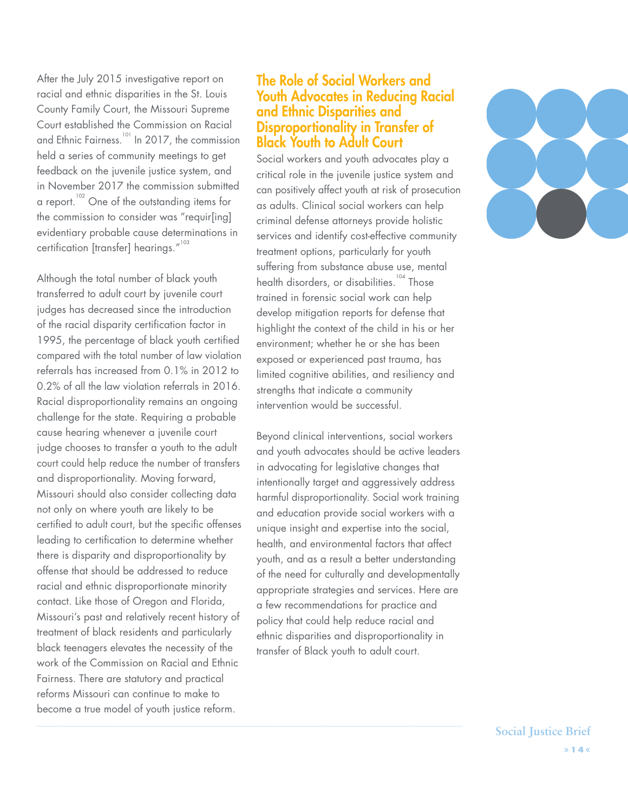After the July 2015 investigative report on racial and ethnic disparities in the St. Louis County Family Court, the Missouri Supreme Court established the Commission on Racial and Ethnic Fairness.<sup>101</sup> In 2017, the commission held a series of community meetings to get feedback on the juvenile justice system, and in November 2017 the commission submitted a report.<sup>102</sup> One of the outstanding items for the commission to consider was "requir[ing] evidentiary probable cause determinations in certification [transfer] hearings."<sup>103</sup>

Although the total number of black youth transferred to adult court by juvenile court judges has decreased since the introduction of the racial disparity certification factor in 1995, the percentage of black youth certified compared with the total number of law violation referrals has increased from 0.1% in 2012 to 0.2% of all the law violation referrals in 2016. Racial disproportionality remains an ongoing challenge for the state. Requiring a probable cause hearing whenever a juvenile court judge chooses to transfer a youth to the adult court could help reduce the number of transfers and disproportionality. Moving forward, Missouri should also consider collecting data not only on where youth are likely to be certified to adult court, but the specific offenses leading to certification to determine whether there is disparity and disproportionality by offense that should be addressed to reduce racial and ethnic disproportionate minority contact. Like those of Oregon and Florida, Missouri's past and relatively recent history of treatment of black residents and particularly black teenagers elevates the necessity of the work of the Commission on Racial and Ethnic Fairness. There are statutory and practical reforms Missouri can continue to make to become a true model of youth justice reform.

## **The Role of Social Workers and Youth Advocates in Reducing Racial and Ethnic Disparities and Disproportionality in Transfer of Black Youth to Adult Court**

Social workers and youth advocates play a critical role in the juvenile justice system and can positively affect youth at risk of prosecution as adults. Clinical social workers can help criminal defense attorneys provide holistic services and identify cost-effective community treatment options, particularly for youth suffering from substance abuse use, mental health disorders, or disabilities.<sup>104</sup> Those trained in forensic social work can help develop mitigation reports for defense that highlight the context of the child in his or her environment; whether he or she has been exposed or experienced past trauma, has limited cognitive abilities, and resiliency and strengths that indicate a community intervention would be successful.

Beyond clinical interventions, social workers and youth advocates should be active leaders in advocating for legislative changes that intentionally target and aggressively address harmful disproportionality. Social work training and education provide social workers with a unique insight and expertise into the social, health, and environmental factors that affect youth, and as a result a better understanding of the need for culturally and developmentally appropriate strategies and services. Here are a few recommendations for practice and policy that could help reduce racial and ethnic disparities and disproportionality in transfer of Black youth to adult court.

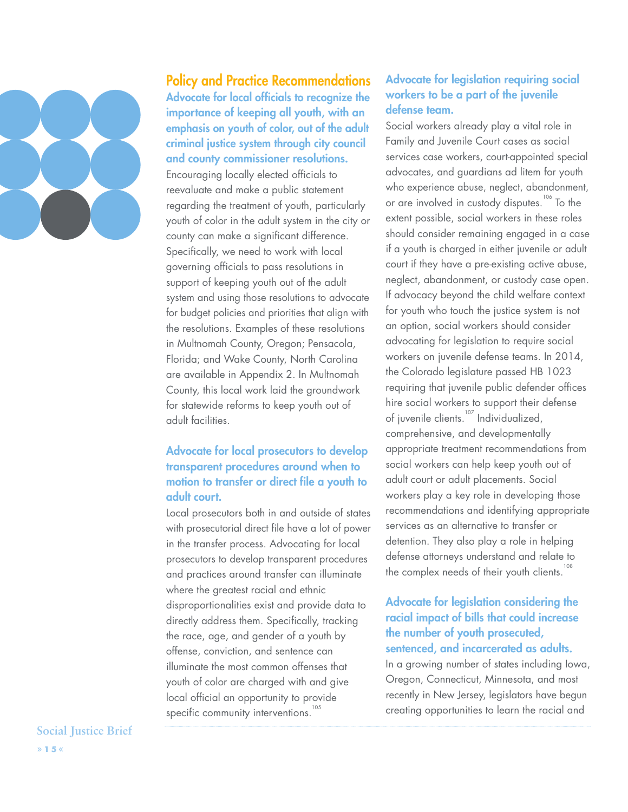

#### **Policy and Practice Recommendations Advocate for local officials to recognize the importance of keeping all youth, with an emphasis on youth of color, out of the adult criminal justice system through city council and county commissioner resolutions.**

Encouraging locally elected officials to reevaluate and make a public statement regarding the treatment of youth, particularly youth of color in the adult system in the city or county can make a significant difference. Specifically, we need to work with local governing officials to pass resolutions in support of keeping youth out of the adult system and using those resolutions to advocate for budget policies and priorities that align with the resolutions. Examples of these resolutions in Multnomah County, Oregon; Pensacola, Florida; and Wake County, North Carolina are available in Appendix 2. In Multnomah County, this local work laid the groundwork for statewide reforms to keep youth out of adult facilities.

## **Advocate for local prosecutors to develop transparent procedures around when to motion to transfer or direct file a youth to adult court.**

Local prosecutors both in and outside of states with prosecutorial direct file have a lot of power in the transfer process. Advocating for local prosecutors to develop transparent procedures and practices around transfer can illuminate where the greatest racial and ethnic disproportionalities exist and provide data to directly address them. Specifically, tracking the race, age, and gender of a youth by offense, conviction, and sentence can illuminate the most common offenses that youth of color are charged with and give local official an opportunity to provide specific community interventions.<sup>1</sup>

## **Advocate for legislation requiring social workers to be a part of the juvenile defense team.**

Social workers already play a vital role in Family and Juvenile Court cases as social services case workers, court-appointed special advocates, and guardians ad litem for youth who experience abuse, neglect, abandonment, or are involved in custody disputes.<sup>106</sup> To the extent possible, social workers in these roles should consider remaining engaged in a case if a youth is charged in either juvenile or adult court if they have a pre-existing active abuse, neglect, abandonment, or custody case open. If advocacy beyond the child welfare context for youth who touch the justice system is not an option, social workers should consider advocating for legislation to require social workers on juvenile defense teams. In 2014, the Colorado legislature passed HB 1023 requiring that juvenile public defender offices hire social workers to support their defense of juvenile clients. $107$  Individualized, comprehensive, and developmentally appropriate treatment recommendations from social workers can help keep youth out of adult court or adult placements. Social workers play a key role in developing those recommendations and identifying appropriate services as an alternative to transfer or detention. They also play a role in helping defense attorneys understand and relate to the complex needs of their youth clients. $108$ 

### **Advocate for legislation considering the racial impact of bills that could increase the number of youth prosecuted, sentenced, and incarcerated as adults.** In a growing number of states including Iowa, Oregon, Connecticut, Minnesota, and most recently in New Jersey, legislators have begun creating opportunities to learn the racial and

**Social Justice Brief** » **1 5** «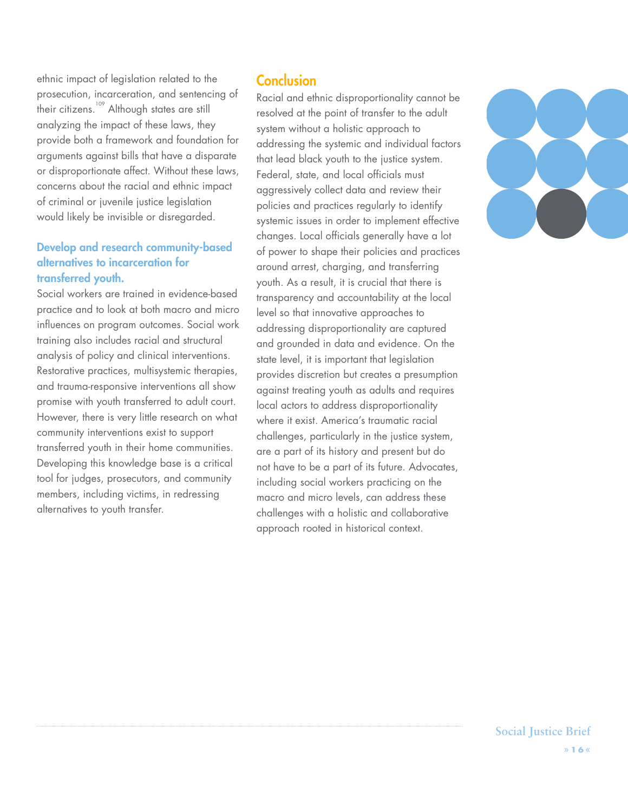ethnic impact of legislation related to the prosecution, incarceration, and sentencing of .<br>their citizens.<sup>109</sup> Although states are still analyzing the impact of these laws, they provide both a framework and foundation for arguments against bills that have a disparate or disproportionate affect. Without these laws, concerns about the racial and ethnic impact of criminal or juvenile justice legislation would likely be invisible or disregarded.

#### **Develop and research community-based alternatives to incarceration for transferred youth.**

Social workers are trained in evidence-based practice and to look at both macro and micro influences on program outcomes. Social work training also includes racial and structural analysis of policy and clinical interventions. Restorative practices, multisystemic therapies, and trauma-responsive interventions all show promise with youth transferred to adult court. However, there is very little research on what community interventions exist to support transferred youth in their home communities. Developing this knowledge base is a critical tool for judges, prosecutors, and community members, including victims, in redressing alternatives to youth transfer.

## **Conclusion**

Racial and ethnic disproportionality cannot be resolved at the point of transfer to the adult system without a holistic approach to addressing the systemic and individual factors that lead black youth to the justice system. Federal, state, and local officials must aggressively collect data and review their policies and practices regularly to identify systemic issues in order to implement effective changes. Local officials generally have a lot of power to shape their policies and practices around arrest, charging, and transferring youth. As a result, it is crucial that there is transparency and accountability at the local level so that innovative approaches to addressing disproportionality are captured and grounded in data and evidence. On the state level, it is important that legislation provides discretion but creates a presumption against treating youth as adults and requires local actors to address disproportionality where it exist. America's traumatic racial challenges, particularly in the justice system, are a part of its history and present but do not have to be a part of its future. Advocates, including social workers practicing on the macro and micro levels, can address these challenges with a holistic and collaborative approach rooted in historical context.

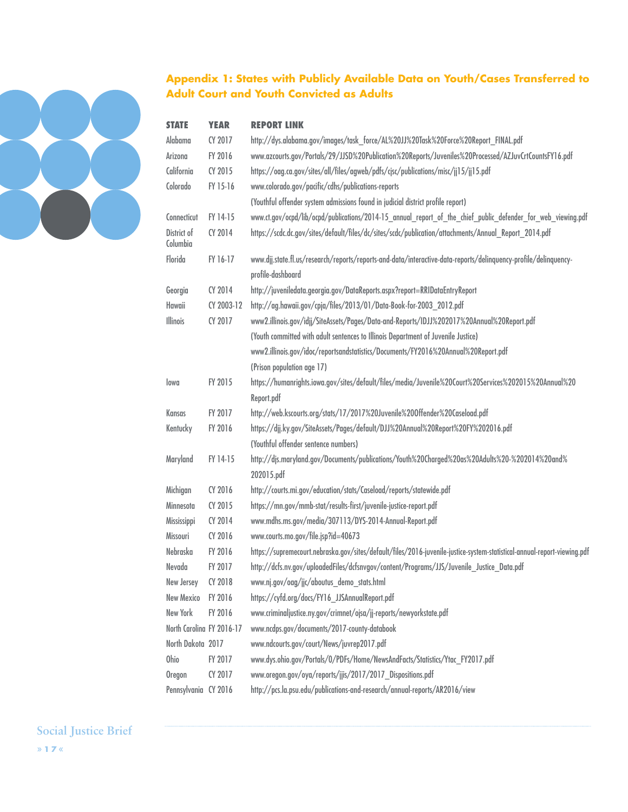

## **Appendix 1: States with Publicly Available Data on Youth/Cases Transferred to Adult Court and Youth Convicted as Adults**

| <b>STATE</b>              | <b>YEAR</b> | <b>REPORT LINK</b>                                                                                                                   |
|---------------------------|-------------|--------------------------------------------------------------------------------------------------------------------------------------|
| Alabama                   | CY 2017     | http://dys.alabama.gov/images/task_force/AL%20JJ%20Task%20Force%20Report_FINAL.pdf                                                   |
| Arizona                   | FY 2016     | www.azcourts.gov/Portals/29/JJSD%20Publication%20Reports/Juveniles%20Processed/AZJuvCrtCountsFY16.pdf                                |
| California                | CY 2015     | https://oag.ca.gov/sites/all/files/agweb/pdfs/cjsc/publications/misc/jj15/jj15.pdf                                                   |
| Colorado                  | FY 15-16    | www.colorado.gov/pacific/cdhs/publications-reports                                                                                   |
|                           |             | (Youthful offender system admissions found in judicial district profile report)                                                      |
| Connecticut               | FY 14-15    | www.ct.gov/ocpd/lib/ocpd/publications/2014-15_annual_report_of_the_chief_public_defender_for_web_viewing.pdf                         |
| District of<br>Columbia   | CY 2014     | https://scdc.dc.gov/sites/default/files/dc/sites/scdc/publication/attachments/Annual_Report_2014.pdf                                 |
| Florida                   | FY 16-17    | www.djj.state.fl.us/research/reports/reports-and-data/interactive-data-reports/delinquency-profile/delinquency-<br>profile-dashboard |
| Georgia                   | CY 2014     | http://juveniledata.georgia.gov/DataReports.aspx?report=RRIDataEntryReport                                                           |
| Hawaii                    | CY 2003-12  | http://ag.hawaii.gov/cpja/files/2013/01/Data-Book-for-2003_2012.pdf                                                                  |
| Illinois                  | CY 2017     | www2.illinois.gov/idjj/SiteAssets/Pages/Data-and-Reports/IDJJ%202017%20Annual%20Report.pdf                                           |
|                           |             | (Youth committed with adult sentences to Illinois Department of Juvenile Justice)                                                    |
|                           |             | www2.illinois.gov/idoc/reportsandstatistics/Documents/FY2016%20Annual%20Report.pdf                                                   |
|                           |             | (Prison population age 17)                                                                                                           |
| lowa                      | FY 2015     | https://humanrights.iowa.gov/sites/default/files/media/Juvenile%20Court%20Services%202015%20Annual%20                                |
|                           |             | Report.pdf                                                                                                                           |
| Kansas                    | FY 2017     | http://web.kscourts.org/stats/17/2017%20Juvenile%200ffender%20Caseload.pdf                                                           |
| Kentucky                  | FY 2016     | https://djj.ky.gov/SiteAssets/Pages/default/DJJ%20Annual%20Report%20FY%202016.pdf                                                    |
|                           |             | (Youthful offender sentence numbers)                                                                                                 |
| Maryland                  | FY 14-15    | http://djs.maryland.gov/Documents/publications/Youth%20Charged%20as%20Adults%20-%202014%20and%<br>202015.pdf                         |
| Michigan                  | CY 2016     | http://courts.mi.gov/education/stats/Caseload/reports/statewide.pdf                                                                  |
| Minnesota                 | CY 2015     | https://mn.gov/mmb-stat/results-first/juvenile-justice-report.pdf                                                                    |
| Mississippi               | CY 2014     | www.mdhs.ms.gov/media/307113/DYS-2014-Annual-Report.pdf                                                                              |
| Missouri                  | CY 2016     | www.courts.mo.gov/file.jsp?id=40673                                                                                                  |
| Nebraska                  | FY 2016     | https://supremecourt.nebraska.gov/sites/default/files/2016-juvenile-justice-system-statistical-annual-report-viewing.pdf             |
| Nevada                    | FY 2017     | http://dcfs.nv.gov/uploadedFiles/dcfsnvgov/content/Programs/JJS/Juvenile_Justice_Data.pdf                                            |
| New Jersey                | CY 2018     | www.nj.gov/oag/jjc/aboutus_demo_stats.html                                                                                           |
| <b>New Mexico</b>         | FY 2016     | https://cyfd.org/docs/FY16_JJSAnnualReport.pdf                                                                                       |
| New York                  | FY 2016     | www.criminaljustice.ny.gov/crimnet/ojsa/jj-reports/newyorkstate.pdf                                                                  |
| North Carolina FY 2016-17 |             | www.ncdps.gov/documents/2017-county-databook                                                                                         |
| North Dakota 2017         |             | www.ndcourts.gov/court/News/juvrep2017.pdf                                                                                           |
| Ohio                      | FY 2017     | www.dys.ohio.gov/Portals/0/PDFs/Home/NewsAndFacts/Statistics/Ytac_FY2017.pdf                                                         |
| <b>Oregon</b>             | CY 2017     | www.oregon.gov/oya/reports/jjis/2017/2017_Dispositions.pdf                                                                           |
| Pennsylvania CY 2016      |             | http://pcs.la.psu.edu/publications-and-research/annual-reports/AR2016/view                                                           |

**Social Justice Brief** » **1 7** «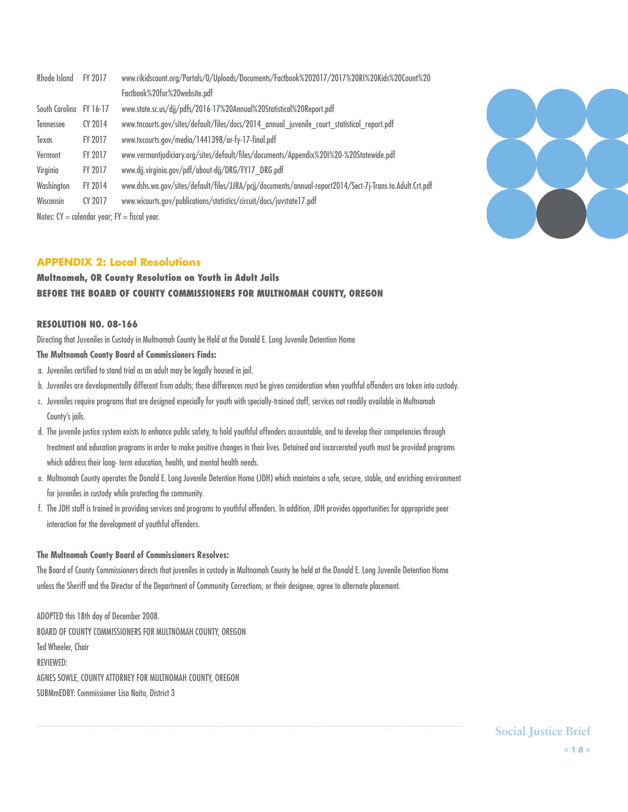| Rhode Island                                     | FY 2017  | www.rikidscount.org/Portals/0/Uploads/Documents/Factbook%202017/2017%20RI%20Kids%20Count%20              |  |  |
|--------------------------------------------------|----------|----------------------------------------------------------------------------------------------------------|--|--|
|                                                  |          | Factbook%20for%20website.pdf                                                                             |  |  |
| South Carolina                                   | FY 16-17 | www.state.sc.us/djj/pdfs/2016-17%20Annual%20Statistical%20Report.pdf                                     |  |  |
| <b>Tennessee</b>                                 | CY 2014  | www.tncourts.gov/sites/default/files/docs/2014_annual_juvenile_court_statistical_report.pdf              |  |  |
| Texas                                            | FY 2017  | www.txcourts.gov/media/1441398/ar-fy-17-final.pdf                                                        |  |  |
| Vermont                                          | FY 2017  | www.vermontjudiciary.org/sites/default/files/documents/Appendix%201%20-%20Statewide.pdf                  |  |  |
| Virginia                                         | FY 2017  | www.djj.virginia.gov/pdf/about-djj/DRG/FY17 DRG.pdf                                                      |  |  |
| Washington                                       | FY 2014  | www.dshs.wa.gov/sites/default/files/JJRA/pcjj/documents/annual-report2014/Sect-7j-Trans.to.Adult.Crt.pdf |  |  |
| Wisconsin                                        | CY 2017  | www.wicourts.gov/publications/statistics/circuit/docs/juvstate17.pdf                                     |  |  |
| Notes: $CY =$ calendar year; $FY =$ fiscal year. |          |                                                                                                          |  |  |

#### **APPENDIX 2: Local Resolutions**

#### **[Multnomah, OR County Resolution on Youth in Adult Jails](https://drive.google.com/file/d/0B9bWH76ZhNQIWnVNamlxQ1Vab0M5NDllWFZURy1hcDA5LXBz/view?usp=sharing) BEFORE THE BOARD OF COUNTY COMMISSIONERS FOR MULTNOMAH COUNTY, OREGON**

#### **RESOLUTION NO. 08-166**

Directing that Juveniles in Custody in Multnomah County be Held at the Donald E. Long Juvenile Detention Home

#### **The Multnomah County Board of Commissioners Finds:**

- a. Juveniles certified to stand trial as an adult may be legally housed in jail.
- b. Juveniles are developmentally different from adults; these differences must be given consideration when youthful offenders are taken into custody.
- c. Juveniles require programs that are designed especially for youth with specially-trained staff, services not readily available in Multnomah County's jails.
- d. The juvenile justice system exists to enhance public safety, to hold youthful offenders accountable, and to develop their competencies through treatment and education programs in order to make positive changes in their lives. Detained and incarcerated youth must be provided programs which address their long- term education, health, and mental health needs.
- e. Multnomah County operates the Donald E. Long Juvenile Detention Home (JDH) which maintains a safe, secure, stable, and enriching environment for juveniles in custody while protecting the community.
- f. The JDH staff is trained in providing services and programs to youthful offenders. In addition, JDH provides opportunities for appropriate peer interaction for the development of youthful offenders.

#### **The Multnomah County Board of Commissioners Resolves:**

The Board of County Commissioners directs that juveniles in custody in Multnomah County be held at the Donald E. Long Juvenile Detention Home unless the Sheriff and the Director of the Department of Community Corrections, or their designee, agree to alternate placement.

ADOPTED this 18th day of December 2008. BOARD OF COUNTY COMMISSIONERS FOR MULTNOMAH COUNTY, OREGON Ted Wheeler, Chair REVIEWED: AGNES SOWLE, COUNTY ATTORNEY FOR MULTNOMAH COUNTY, OREGON SUBMmEDBY: Commissioner Lisa Naito, District 3



**Social Justice Brief**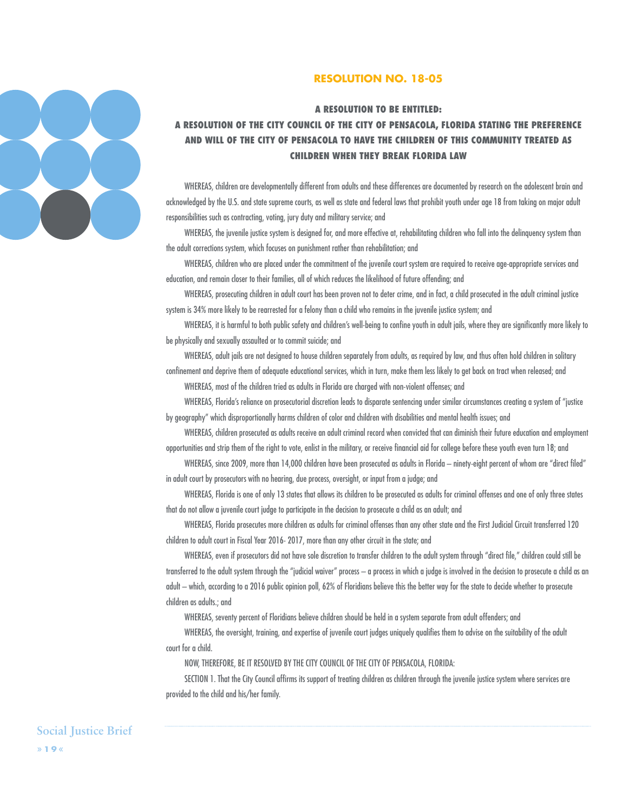#### **RESOLUTION NO. 18-05**



#### **A RESOLUTION TO BE ENTITLED: A RESOLUTION OF THE CITY COUNCIL OF THE CITY OF PENSACOLA, FLORIDA STATING THE PREFERENCE AND WILL OF THE CITY OF PENSACOLA TO HAVE THE CHILDREN OF THIS COMMUNITY TREATED AS CHILDREN WHEN THEY BREAK FLORIDA LAW**

WHEREAS, children are developmentally different from adults and these differences are documented by research on the adolescent brain and acknowledged by the U.S. and state supreme courts, as well as state and federal laws that prohibit youth under age 18 from taking on major adult responsibilities such as contracting, voting, jury duty and military service; and

WHEREAS, the juvenile justice system is designed for, and more effective at, rehabilitating children who fall into the delinquency system than the adult corrections system, which focuses on punishment rather than rehabilitation; and

WHEREAS, children who are placed under the commitment of the juvenile court system are required to receive age-appropriate services and education, and remain closer to their families, all of which reduces the likelihood of future offending; and

WHEREAS, prosecuting children in adult court has been proven not to deter crime, and in fact, a child prosecuted in the adult criminal justice system is 34% more likely to be rearrested for a felony than a child who remains in the juvenile justice system; and

WHEREAS, it is harmful to both public safety and children's well-being to confine youth in adult jails, where they are significantly more likely to be physically and sexually assaulted or to commit suicide; and

WHEREAS, adult jails are not designed to house children separately from adults, as required by law, and thus often hold children in solitary confinement and deprive them of adequate educational services, which in turn, make them less likely to get back on tract when released; and WHEREAS, most of the children tried as adults in Florida are charged with non-violent offenses; and

WHEREAS, Florida's reliance on prosecutorial discretion leads to disparate sentencing under similar circumstances creating a system of "justice by geography" which disproportionally harms children of color and children with disabilities and mental health issues; and

WHEREAS, children prosecuted as adults receive an adult criminal record when convicted that can diminish their future education and employment opportunities and strip them of the right to vote, enlist in the military, or receive financial aid for college before these youth even turn 18; and

WHEREAS, since 2009, more than 14,000 children have been prosecuted as adults in Florida – ninety-eight percent of whom are "direct filed" in adult court by prosecutors with no hearing, due process, oversight, or input from a judge; and

WHEREAS, Florida is one of only 13 states that allows its children to be prosecuted as adults for criminal offenses and one of only three states that do not allow a juvenile court judge to participate in the decision to prosecute a child as an adult; and

WHEREAS, Florida prosecutes more children as adults for criminal offenses than any other state and the First Judicial Circuit transferred 120 children to adult court in Fiscal Year 2016- 2017, more than any other circuit in the state; and

WHEREAS, even if prosecutors did not have sole discretion to transfer children to the adult system through "direct file," children could still be transferred to the adult system through the "judicial waiver" process – a process in which a judge is involved in the decision to prosecute a child as an adult – which, according to a 2016 public opinion poll, 62% of Floridians believe this the better way for the state to decide whether to prosecute children as adults.; and

WHEREAS, seventy percent of Floridians believe children should be held in a system separate from adult offenders; and

WHEREAS, the oversight, training, and expertise of juvenile court judges uniquely qualifies them to advise on the suitability of the adult court for a child.

NOW, THEREFORE, BE IT RESOLVED BY THE CITY COUNCIL OF THE CITY OF PENSACOLA, FLORIDA:

SECTION 1. That the City Council affirms its support of treating children as children through the juvenile justice system where services are provided to the child and his/her family.

#### **Social Justice Brief** » **1 9** «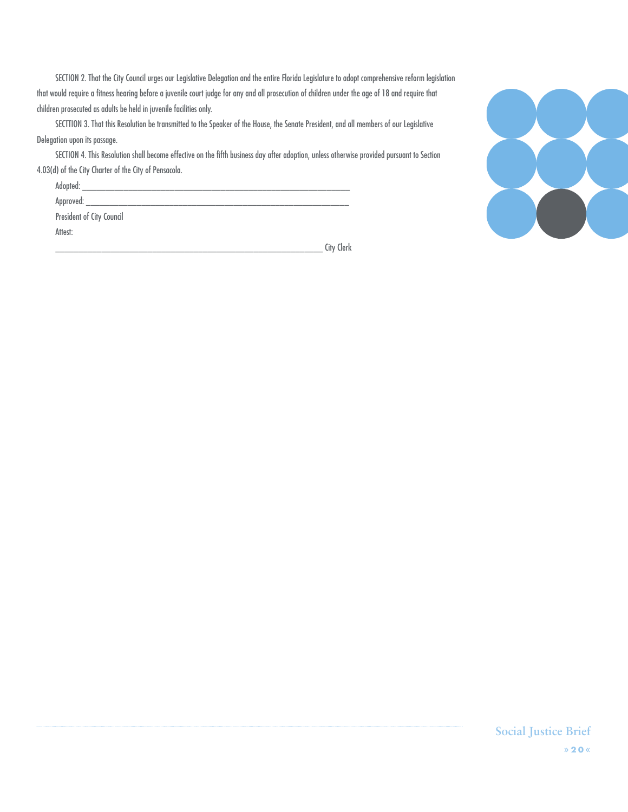SECTION 2. That the City Council urges our Legislative Delegation and the entire Florida Legislature to adopt comprehensive reform legislation that would require a fitness hearing before a juvenile court judge for any and all prosecution of children under the age of 18 and require that children prosecuted as adults be held in juvenile facilities only.

SECTTION 3. That this Resolution be transmitted to the Speaker of the House, the Senate President, and all members of our Legislative Delegation upon its passage.

SECTION 4. This Resolution shall become effective on the fifth business day after adoption, unless otherwise provided pursuant to Section 4.03(d) of the City Charter of the City of Pensacola.

Adopted: \_\_\_\_\_\_\_\_\_\_\_\_\_\_\_\_\_\_\_\_\_\_\_\_\_\_\_\_\_\_\_\_\_\_\_\_\_\_\_\_\_\_\_\_\_\_\_\_\_\_\_\_\_\_\_\_\_\_ Approved: \_\_ President of City Council Attest:



\_\_\_\_\_\_\_\_\_\_\_\_\_\_\_\_\_\_\_\_\_\_\_\_\_\_\_\_\_\_\_\_\_\_\_\_\_\_\_\_\_\_\_\_\_\_\_\_\_\_\_\_\_\_\_\_\_\_ City Clerk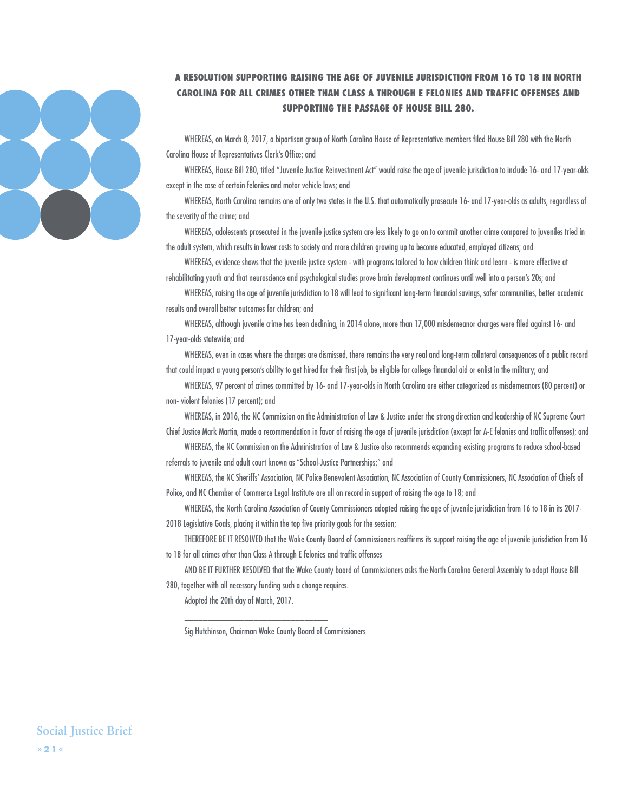

#### **A RESOLUTION SUPPORTING RAISING THE AGE OF JUVENILE JURISDICTION FROM 16 TO 18 IN NORTH CAROLINA FOR ALL CRIMES OTHER THAN CLASS A THROUGH E FELONIES AND TRAFFIC OFFENSES AND SUPPORTING THE PASSAGE OF HOUSE BILL 280.**

WHEREAS, on March 8, 2017, a bipartisan group of North Carolina House of Representative members filed House Bill 280 with the North Carolina House of Representatives Clerk's Office; and

WHEREAS, House Bill 280, titled "Juvenile Justice Reinvestment Act" would raise the age of juvenile jurisdiction to include 16- and 17-year-olds except in the case of certain felonies and motor vehicle laws; and

WHEREAS, North Carolina remains one of only two states in the U.S. that automatically prosecute 16- and 17-year-olds as adults, regardless of the severity of the crime; and

WHEREAS, adolescents prosecuted in the juvenile justice system are less likely to go on to commit another crime compared to juveniles tried in the adult system, which results in lower costs to society and more children growing up to become educated, employed citizens; and

WHEREAS, evidence shows that the juvenile justice system - with programs tailored to how children think and learn - is more effective at rehabilitating youth and that neuroscience and psychological studies prove brain development continues until well into a person's 20s; and

WHEREAS, raising the age of juvenile jurisdiction to 18 will lead to significant long-term financial savings, safer communities, better academic results and overall better outcomes for children; and

WHEREAS, although juvenile crime has been declining, in 2014 alone, more than 17,000 misdemeanor charges were filed against 16- and 17-year-olds statewide; and

WHEREAS, even in cases where the charges are dismissed, there remains the very real and long-term collateral consequences of a public record that could impact a young person's ability to get hired for their first job, be eligible for college financial aid or enlist in the military; and

WHEREAS, 97 percent of crimes committed by 16- and 17-year-olds in North Carolina are either categorized as misdemeanors (80 percent) or non- violent felonies (17 percent); and

WHEREAS, in 2016, the NC Commission on the Administration of Law & Justice under the strong direction and leadership of NC Supreme Court Chief Justice Mark Martin, made a recommendation in favor of raising the age of juvenile jurisdiction (except for A-E felonies and traffic offenses); and

WHEREAS, the NC Commission on the Administration of Law & Justice also recommends expanding existing programs to reduce school-based referrals to juvenile and adult court known as "School-Justice Partnerships;" and

WHEREAS, the NC Sheriffs' Association, NC Police Benevolent Association, NC Association of County Commissioners, NC Association of Chiefs of Police, and NC Chamber of Commerce Legal Institute are all on record in support of raising the age to 18; and

WHEREAS, the North Carolina Association of County Commissioners adopted raising the age of juvenile jurisdiction from 16 to 18 in its 2017- 2018 Legislative Goals, placing it within the top five priority goals for the session;

THEREFORE BE IT RESOLVED that the Wake County Board of Commissioners reaffirms its support raising the age of juvenile jurisdiction from 16 to 18 for all crimes other than Class A through E felonies and traffic offenses

AND BE IT FURTHER RESOLVED that the Wake County board of Commissioners asks the North Carolina General Assembly to adopt House Bill 280, together with all necessary funding such a change requires.

Adopted the 20th day of March, 2017.

\_\_\_\_\_\_\_\_\_\_\_\_\_\_\_\_\_\_\_\_\_\_\_\_\_\_\_\_\_\_\_

Sig Hutchinson, Chairman Wake County Board of Commissioners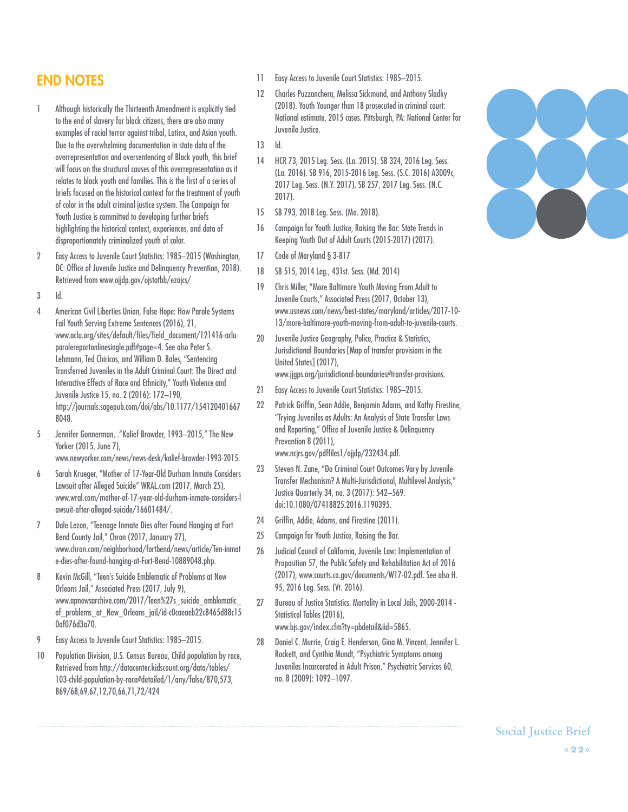## **END NOTES**

- Although historically the Thirteenth Amendment is explicitly tied to the end of slavery for black citizens, there are also many examples of racial terror against tribal, Latinx, and Asian youth. Due to the overwhelming documentation in state data of the overrepresentation and oversentencing of Black youth, this brief will focus on the structural causes of this overrepresentation as it relates to black youth and families. This is the first of a series of briefs focused on the historical context for the treatment of youth of color in the adult criminal justice system. The Campaign for Youth Justice is committed to developing further briefs highlighting the historical context, experiences, and data of disproportionately criminalized youth of color.
- 2 Easy Access to Juvenile Court Statistics: 1985–2015 (Washington, DC: Office of Juvenile Justice and Delinquency Prevention, 2018). Retrieved from www.ojjdp.gov/ojstatbb/ezajcs/
- 3 Id.
- 4 American Civil Liberties Union, False Hope: How Parole Systems Fail Youth Serving Extreme Sentences (2016), 21, www.aclu.org/sites/default/files/field\_document/121416-acluparolereportonlinesingle.pdf#page=4. See also Peter S. Lehmann, Ted Chiricos, and William D. Bales, "Sentencing Transferred Juveniles in the Adult Criminal Court: The Direct and Interactive Effects of Race and Ethnicity," Youth Violence and Juvenile Justice 15, no. 2 (2016): 172–190, http://journals.sagepub.com/doi/abs/10.1177/154120401667 8048.
- 5 Jennifer Gonnerman, ."Kalief Browder, 1993–2015," The New Yorker (2015, June 7), www.newyorker.com/news/news-desk/kalief-browder-1993-2015.
- 6 Sarah Krueger, "Mother of 17-Year-Old Durham Inmate Considers Lawsuit after Alleged Suicide" WRAL.com (2017, March 25), www.wral.com/mother-of-17-year-old-durham-inmate-considers-l awsuit-after-alleged-suicide/16601484/.
- 7 Dale Lezon, "Teenage Inmate Dies after Found Hanging at Fort Bend County Jail," Chron (2017, January 27), www.chron.com/neighborhood/fortbend/news/article/Ten-inmat e-dies-after-found-hanging-at-Fort-Bend-10889048.php.
- 8 Kevin McGill, "Teen's Suicide Emblematic of Problems at New Orleans Jail," Associated Press (2017, July 9), www.apnewsarchive.com/2017/Teen%27s\_suicide\_emblematic of problems at New Orleans jail/id-c0caeaeb22c8465d88c15 0af076d3a70.
- 9 Easy Access to Juvenile Court Statistics: 1985–2015.
- 10 Population Division, U.S. Census Bureau, Child population by race, Retrieved from http://datacenter.kidscount.org/data/tables/ 103-child-population-by-race#detailed/1/any/false/870,573, 869/68,69,67,12,70,66,71,72/424
- 11 Easy Access to Juvenile Court Statistics: 1985–2015.
- 12 Charles Puzzanchera, Melissa Sickmund, and Anthony Sladky (2018). Youth Younger than 18 prosecuted in criminal court: National estimate, 2015 cases. Pittsburgh, PA: National Center for Juvenile Justice.
- 13 Id.
- 14 HCR 73, 2015 Leg. Sess. (La. 2015). SB 324, 2016 Leg. Sess. (La. 2016). SB 916, 2015-2016 Leg. Sess. (S.C. 2016) A3009c, 2017 Leg. Sess. (N.Y. 2017). SB 257, 2017 Leg. Sess. (N.C. 2017).
- 15 SB 793, 2018 Leg. Sess. (Mo. 2018).
- 16 Campaign for Youth Justice, Raising the Bar: State Trends in Keeping Youth Out of Adult Courts (2015-2017) (2017).
- 17 Code of Maryland § 3-817
- 18 SB 515, 2014 Leg., 431st. Sess. (Md. 2014)
- 19 Chris Miller, "More Baltimore Youth Moving From Adult to Juvenile Courts," Associated Press (2017, October 13), www.usnews.com/news/best-states/maryland/articles/2017-10- 13/more-baltimore-youth-moving-from-adult-to-juvenile-courts.
- 20 Juvenile Justice Geography, Police, Practice & Statistics, Jurisdictional Boundaries [Map of transfer provisions in the United States] (2017), www.jjgps.org/jurisdictional-boundaries#transfer-provisions.
- 21 Easy Access to Juvenile Court Statistics: 1985–2015.
- 22 Patrick Griffin, Sean Addie, Benjamin Adams, and Kathy Firestine, "Trying Juveniles as Adults: An Analysis of State Transfer Laws and Reporting," Office of Juvenile Justice & Delinquency Prevention 8 (2011), www.ncjrs.gov/pdffiles1/ojjdp/232434.pdf.
- 23 Steven N. Zane, "Do Criminal Court Outcomes Vary by Juvenile Transfer Mechanism? A Multi-Jurisdictional, Multilevel Analysis," Justice Quarterly 34, no. 3 (2017): 542–569. doi:10.1080/07418825.2016.1190395.
- 24 Griffin, Addie, Adams, and Firestine (2011).
- 25 Campaign for Youth Justice, Raising the Bar.
- 26 Judicial Council of California, Juvenile Law: Implementation of Proposition 57, the Public Safety and Rehabilitation Act of 2016 (2017), www.courts.ca.gov/documents/W17-02.pdf. See also H. 95, 2016 Leg. Sess. (Vt. 2016).
- 27 Bureau of Justice Statistics. Mortality in Local Jails, 2000-2014 -Statistical Tables (2016). www.bjs.gov/index.cfm?ty=pbdetail&iid=5865.
- 28 Daniel C. Murrie, Craig E. Henderson, Gina M. Vincent, Jennifer L. Rockett, and Cynthia Mundt, "Psychiatric Symptoms among Juveniles Incarcerated in Adult Prison," Psychiatric Services 60, no. 8 (2009): 1092–1097.



**Social Justice Brief** » **2 2** «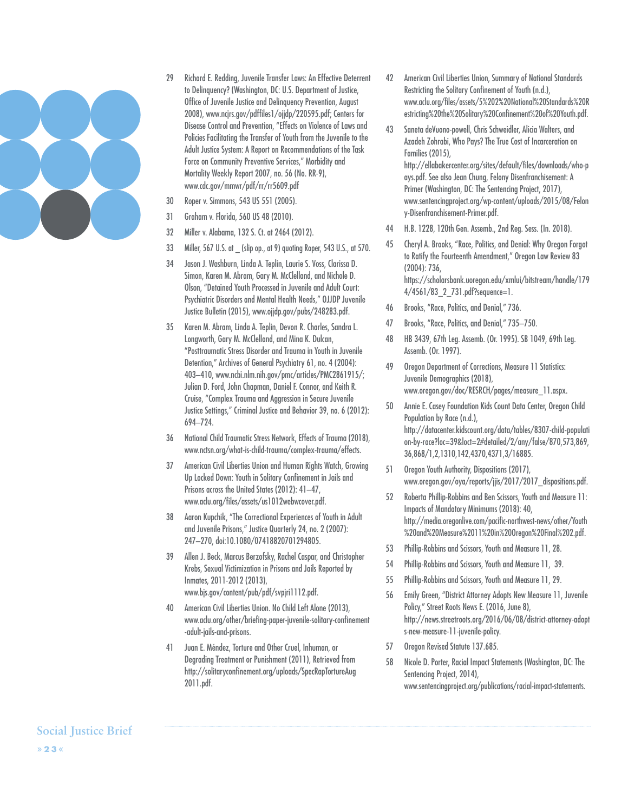

- 29 Richard E. Redding, Juvenile Transfer Laws: An Effective Deterrent to Delinquency? (Washington, DC: U.S. Department of Justice, Office of Juvenile Justice and Delinquency Prevention, August 2008), www.ncjrs.gov/pdffiles1/ojjdp/220595.pdf; Centers for Disease Control and Prevention, "Effects on Violence of Laws and Policies Facilitating the Transfer of Youth from the Juvenile to the Adult Justice System: A Report on Recommendations of the Task Force on Community Preventive Services," Morbidity and Mortality Weekly Report 2007, no. 56 (No. RR-9), www.cdc.gov/mmwr/pdf/rr/rr5609.pdf
- 30 Roper v. Simmons, 543 US 551 (2005).
- 31 Graham v. Florida, 560 US 48 (2010).
- 32 Miller v. Alabama, 132 S. Ct. at 2464 (2012).
- 33 Miller, 567 U.S. at \_ (slip op., at 9) quoting Roper, 543 U.S., at 570.
- 34 Jason J. Washburn, Linda A. Teplin, Laurie S. Voss, Clarissa D. Simon, Karen M. Abram, Gary M. McClelland, and Nichole D. Olson, "Detained Youth Processed in Juvenile and Adult Court: Psychiatric Disorders and Mental Health Needs," OJJDP Juvenile Justice Bulletin (2015), www.ojjdp.gov/pubs/248283.pdf.
- 35 Karen M. Abram, Linda A. Teplin, Devon R. Charles, Sandra L. Longworth, Gary M. McClelland, and Mina K. Dulcan, "Posttraumatic Stress Disorder and Trauma in Youth in Juvenile Detention," Archives of General Psychiatry 61, no. 4 (2004): 403–410, www.ncbi.nlm.nih.gov/pmc/articles/PMC2861915/; Julian D. Ford, John Chapman, Daniel F. Connor, and Keith R. Cruise, "Complex Trauma and Aggression in Secure Juvenile Justice Settings," Criminal Justice and Behavior 39, no. 6 (2012): 694–724.
- 36 National Child Traumatic Stress Network, Effects of Trauma (2018), www.nctsn.org/what-is-child-trauma/complex-trauma/effects.
- 37 American Civil Liberties Union and Human Rights Watch, Growing Up Locked Down: Youth in Solitary Confinement in Jails and Prisons across the United States (2012): 41–47, www.aclu.org/files/assets/us1012webwcover.pdf.
- 38 Aaron Kupchik, "The Correctional Experiences of Youth in Adult and Juvenile Prisons," Justice Quarterly 24, no. 2 (2007): 247–270, doi:10.1080/07418820701294805.
- 39 Allen J. Beck, Marcus Berzofsky, Rachel Caspar, and Christopher Krebs, Sexual Victimization in Prisons and Jails Reported by Inmates, 2011-2012 (2013), www.bjs.gov/content/pub/pdf/svpjri1112.pdf.
- 40 American Civil Liberties Union. No Child Left Alone (2013), www.aclu.org/other/briefing-paper-juvenile-solitary-confinement -adult-jails-and-prisons.
- 41 Juan E. Méndez, Torture and Other Cruel, Inhuman, or Degrading Treatment or Punishment (2011), Retrieved from http://solitaryconfinement.org/uploads/SpecRapTortureAug 2011.pdf.
- 42 American Civil Liberties Union, Summary of National Standards Restricting the Solitary Confinement of Youth (n.d.), www.aclu.org/files/assets/5%202%20National%20Standards%20R estricting%20the%20Solitary%20Confinement%20of%20Youth.pdf.
- 43 Saneta deVuono-powell, Chris Schweidler, Alicia Walters, and Azadeh Zohrabi, Who Pays? The True Cost of Incarceration on Families (2015), http://ellabakercenter.org/sites/default/files/downloads/who-p ays.pdf. See also Jean Chung, Felony Disenfranchisement: A Primer (Washington, DC: The Sentencing Project, 2017), www.sentencingproject.org/wp-content/uploads/2015/08/Felon y-Disenfranchisement-Primer.pdf.
- 44 H.B. 1228, 120th Gen. Assemb., 2nd Reg. Sess. (In. 2018).
- 45 Cheryl A. Brooks, "Race, Politics, and Denial: Why Oregon Forgot to Ratify the Fourteenth Amendment," Oregon Law Review 83 (2004): 736, https://scholarsbank.uoregon.edu/xmlui/bitstream/handle/179 4/4561/83\_2\_731.pdf?sequence=1.
- 46 Brooks, "Race, Politics, and Denial," 736.
- 47 Brooks, "Race, Politics, and Denial," 735–750.
- 48 HB 3439, 67th Leg. Assemb. (Or. 1995). SB 1049, 69th Leg. Assemb. (Or. 1997).
- 49 Oregon Department of Corrections, Measure 11 Statistics: Juvenile Demographics (2018), www.oregon.gov/doc/RESRCH/pages/measure\_11.aspx.
- 50 Annie E. Casey Foundation Kids Count Data Center, Oregon Child Population by Race (n.d.), http://datacenter.kidscount.org/data/tables/8307-child-populati on-by-race?loc=39&loct=2#detailed/2/any/false/870,573,869, 36,868/1,2,1310,142,4370,4371,3/16885.
- 51 Oregon Youth Authority, Dispositions (2017), www.oregon.gov/oya/reports/jjis/2017/2017\_dispositions.pdf.
- 52 Roberta Phillip-Robbins and Ben Scissors, Youth and Measure 11: Impacts of Mandatory Minimums (2018): 40, http://media.oregonlive.com/pacific-northwest-news/other/Youth %20and%20Measure%2011%20in%20Oregon%20Final%202.pdf.
- 53 Phillip-Robbins and Scissors, Youth and Measure 11, 28.
- 54 Phillip-Robbins and Scissors, Youth and Measure 11, 39.
- 55 Phillip-Robbins and Scissors, Youth and Measure 11, 29.
- 56 Emily Green, "District Attorney Adopts New Measure 11, Juvenile Policy," Street Roots News E. (2016, June 8), http://news.streetroots.org/2016/06/08/district-attorney-adopt s-new-measure-11-juvenile-policy.
- 57 Oregon Revised Statute 137.685.
- 58 Nicole D. Porter, Racial Impact Statements (Washington, DC: The Sentencing Project, 2014), www.sentencingproject.org/publications/racial-impact-statements.

**Social Justice Brief** » **2 3** «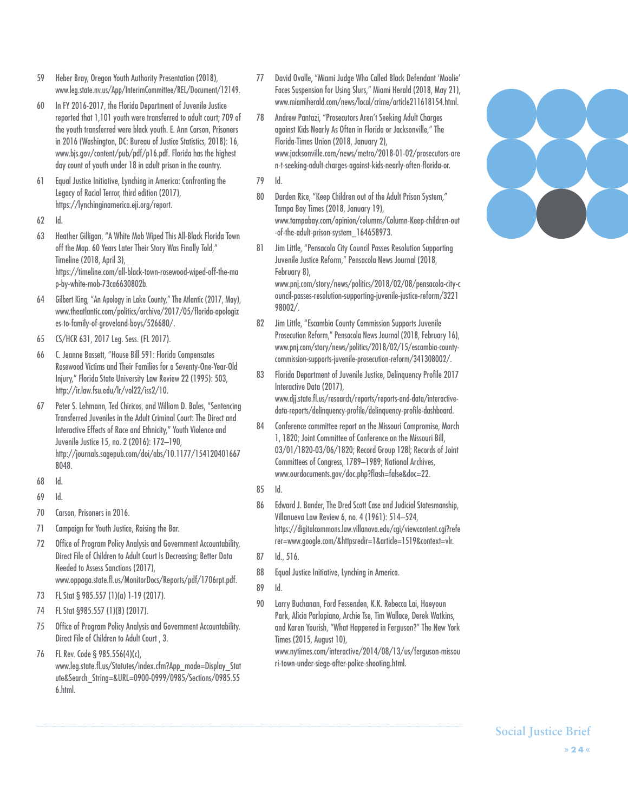- 59 Heber Bray, Oregon Youth Authority Presentation (2018), www.leg.state.nv.us/App/InterimCommittee/REL/Document/12149.
- 60 In FY 2016-2017, the Florida Department of Juvenile Justice reported that 1,101 youth were transferred to adult court; 709 of the youth transferred were black youth. E. Ann Carson, Prisoners in 2016 (Washington, DC: Bureau of Justice Statistics, 2018): 16, www.bjs.gov/content/pub/pdf/p16.pdf. Florida has the highest day count of youth under 18 in adult prison in the country.
- 61 Equal Justice Initiative, Lynching in America: Confronting the Legacy of Racial Terror, third edition (2017), https://lynchinginamerica.eji.org/report.
- 62 Id.
- 63 Heather Gilligan, "A White Mob Wiped This All-Black Florida Town off the Map. 60 Years Later Their Story Was Finally Told," Timeline (2018, April 3), https://timeline.com/all-black-town-rosewood-wiped-off-the-ma p-by-white-mob-73ca6630802b.
- 64 Gilbert King, "An Apology in Lake County," The Atlantic (2017, May), www.theatlantic.com/politics/archive/2017/05/florida-apologiz es-to-family-of-groveland-boys/526680/.
- 65 CS/HCR 631, 2017 Leg. Sess. (FL 2017).
- 66 C. Jeanne Bassett, "House Bill 591: Florida Compensates Rosewood Victims and Their Families for a Seventy-One-Year-Old Injury," Florida State University Law Review 22 (1995): 503, http://ir.law.fsu.edu/lr/vol22/iss2/10.
- 67 Peter S. Lehmann, Ted Chiricos, and William D. Bales, "Sentencing Transferred Juveniles in the Adult Criminal Court: The Direct and Interactive Effects of Race and Ethnicity," Youth Violence and Juvenile Justice 15, no. 2 (2016): 172–190, http://journals.sagepub.com/doi/abs/10.1177/154120401667 8048.
- 68 Id.
- 69 Id.

- 71 Campaign for Youth Justice, Raising the Bar.
- 72 Office of Program Policy Analysis and Government Accountability, Direct File of Children to Adult Court Is Decreasing; Better Data Needed to Assess Sanctions (2017), www.oppaga.state.fl.us/MonitorDocs/Reports/pdf/1706rpt.pdf.
- 73 FL Stat § 985.557 (1)(a) 1-19 (2017).
- 74 FL Stat §985.557 (1)(B) (2017).
- 75 Office of Program Policy Analysis and Government Accountability. Direct File of Children to Adult Court , 3.
- 76 FL Rev. Code § 985.556(4)(c), www.leg.state.fl.us/Statutes/index.cfm?App\_mode=Display\_Stat ute&Search\_String=&URL=0900-0999/0985/Sections/0985.55 6.html.
- 77 David Ovalle, "Miami Judge Who Called Black Defendant 'Moolie' Faces Suspension for Using Slurs," Miami Herald (2018, May 21), www.miamiherald.com/news/local/crime/article211618154.html.
- 78 Andrew Pantazi, "Prosecutors Aren't Seeking Adult Charges against Kids Nearly As Often in Florida or Jacksonville," The Florida-Times Union (2018, January 2), www.jacksonville.com/news/metro/2018-01-02/prosecutors-are n-t-seeking-adult-charges-against-kids-nearly-often-florida-or.
- 79 Id.
- 80 Darden Rice, "Keep Children out of the Adult Prison System," Tampa Bay Times (2018, January 19), www.tampabay.com/opinion/columns/Column-Keep-children-out -of-the-adult-prison-system\_164658973.
- 81 Jim Little, "Pensacola City Council Passes Resolution Supporting Juvenile Justice Reform," Pensacola News Journal (2018, February 8),

www.pnj.com/story/news/politics/2018/02/08/pensacola-city-c ouncil-passes-resolution-supporting-juvenile-justice-reform/3221 98002/.

- 82 Jim Little, "Escambia County Commission Supports Juvenile Prosecution Reform," Pensacola News Journal (2018, February 16), www.pnj.com/story/news/politics/2018/02/15/escambia-countycommission-supports-juvenile-prosecution-reform/341308002/.
- 83 Florida Department of Juvenile Justice, Delinquency Profile 2017 Interactive Data (2017).

www.djj.state.fl.us/research/reports/reports-and-data/interactivedata-reports/delinquency-profile/delinquency-profile-dashboard.

- 84 Conference committee report on the Missouri Compromise, March 1, 1820; Joint Committee of Conference on the Missouri Bill, 03/01/1820-03/06/1820; Record Group 128l; Records of Joint Committees of Congress, 1789–1989; National Archives, www.ourdocuments.gov/doc.php?flash=false&doc=22.
- 85 Id.
- 86 Edward J. Bander, The Dred Scott Case and Judicial Statesmanship, Villanueva Law Review 6, no. 4 (1961): 514–524, https://digitalcommons.law.villanova.edu/cgi/viewcontent.cgi?refe rer=www.google.com/&httpsredir=1&article=1519&context=vlr.
- 87 Id., 516.
- 88 Equal Justice Initiative, Lynching in America.

90 Larry Buchanan, Ford Fessenden, K.K. Rebecca Lai, Haeyoun Park, Alicia Parlapiano, Archie Tse, Tim Wallace, Derek Watkins, and Karen Yourish, "What Happened in Ferguson?" The New York Times (2015, August 10),

www.nytimes.com/interactive/2014/08/13/us/ferguson-missou ri-town-under-siege-after-police-shooting.html.



**Social Justice Brief** » **2 4** «

<sup>70</sup> Carson, Prisoners in 2016.

<sup>89</sup> Id.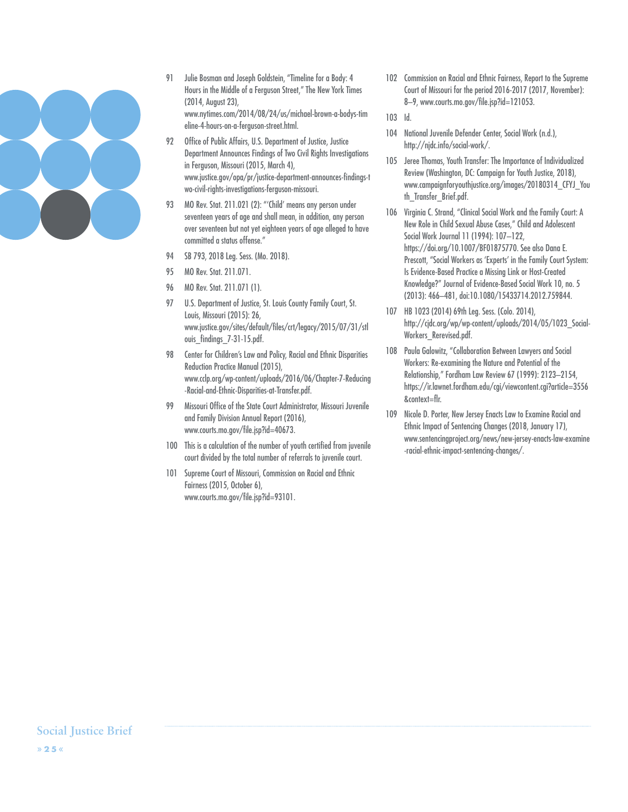

- 91 Julie Bosman and Joseph Goldstein, "Timeline for a Body: 4 Hours in the Middle of a Ferguson Street," The New York Times (2014, August 23), www.nytimes.com/2014/08/24/us/michael-brown-a-bodys-tim eline-4-hours-on-a-ferguson-street.html.
- 92 Office of Public Affairs, U.S. Department of Justice, Justice Department Announces Findings of Two Civil Rights Investigations in Ferguson, Missouri (2015, March 4), www.justice.gov/opa/pr/justice-department-announces-findings-t wo-civil-rights-investigations-ferguson-missouri.
- 93 MO Rev. Stat. 211.021 (2): "'Child' means any person under seventeen years of age and shall mean, in addition, any person over seventeen but not yet eighteen years of age alleged to have committed a status offense."
- 94 SB 793, 2018 Leg. Sess. (Mo. 2018).
- 95 MO Rev. Stat. 211.071.
- 96 MO Rev. Stat. 211.071 (1).
- 97 U.S. Department of Justice, St. Louis County Family Court, St. Louis, Missouri (2015): 26, www.justice.gov/sites/default/files/crt/legacy/2015/07/31/stl ouis\_findings\_7-31-15.pdf.
- 98 Center for Children's Law and Policy, Racial and Ethnic Disparities Reduction Practice Manual (2015), www.cclp.org/wp-content/uploads/2016/06/Chapter-7-Reducing -Racial-and-Ethnic-Disparities-at-Transfer.pdf.
- 99 Missouri Office of the State Court Administrator, Missouri Juvenile and Family Division Annual Report (2016), www.courts.mo.gov/file.jsp?id=40673.
- 100 This is a calculation of the number of youth certified from juvenile court divided by the total number of referrals to juvenile court.
- 101 Supreme Court of Missouri, Commission on Racial and Ethnic Fairness (2015, October 6), www.courts.mo.gov/file.jsp?id=93101.
- 102 Commission on Racial and Ethnic Fairness, Report to the Supreme Court of Missouri for the period 2016-2017 (2017, November): 8-9, www.courts.mo.gov/file.jsp?id=121053.
- 103 Id.
- 104 National Juvenile Defender Center, Social Work (n.d.), http://njdc.info/social-work/.
- 105 Jeree Thomas, Youth Transfer: The Importance of Individualized Review (Washington, DC: Campaign for Youth Justice, 2018), www.campaignforyouthjustice.org/images/20180314\_CFYJ\_You th Transfer Brief.pdf.
- 106 Virginia C. Strand, "Clinical Social Work and the Family Court: A New Role in Child Sexual Abuse Cases," Child and Adolescent Social Work Journal 11 (1994): 107–122, https://doi.org/10.1007/BF01875770. See also Dana E. Prescott, "Social Workers as 'Experts' in the Family Court System: Is Evidence-Based Practice a Missing Link or Host-Created Knowledge?" Journal of Evidence-Based Social Work 10, no. 5 (2013): 466–481, doi:10.1080/15433714.2012.759844.
- 107 HB 1023 (2014) 69th Leg. Sess. (Colo. 2014), http://cjdc.org/wp/wp-content/uploads/2014/05/1023\_Social-Workers Rerevised.pdf.
- 108 Paula Galowitz, "Collaboration Between Lawyers and Social Workers: Re-examining the Nature and Potential of the Relationship," Fordham Law Review 67 (1999): 2123–2154, https://ir.lawnet.fordham.edu/cgi/viewcontent.cgi?article=3556 &context=flr.
- 109 Nicole D. Porter, New Jersey Enacts Law to Examine Racial and Ethnic Impact of Sentencing Changes (2018, January 17), www.sentencingproject.org/news/new-jersey-enacts-law-examine -racial-ethnic-impact-sentencing-changes/.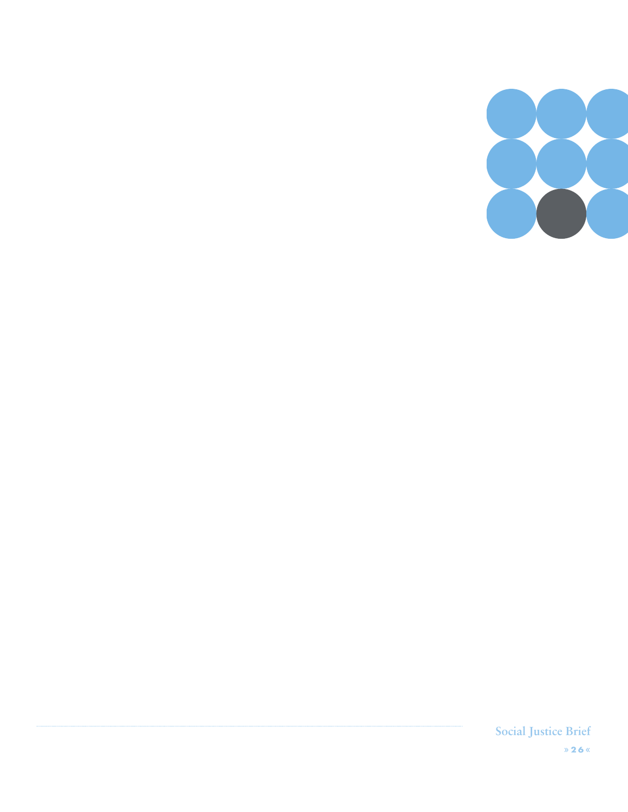

**Social Justice Brief** » **2 6** «